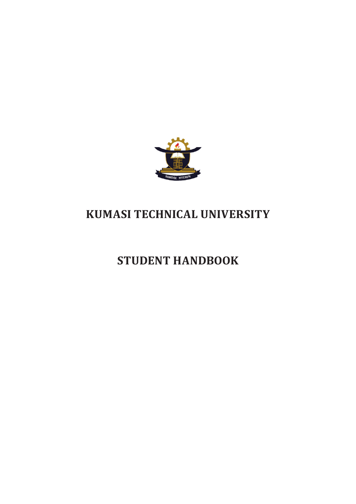

# **KUMASI TECHNICAL UNIVERSITY**

## **STUDENT HANDBOOK**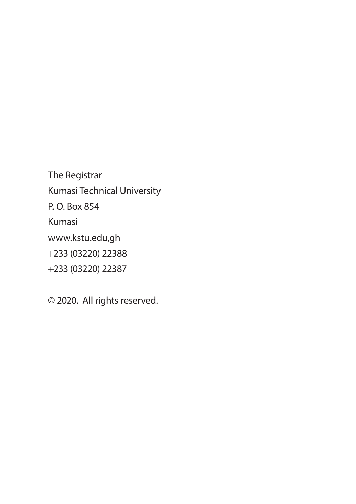The Registrar Kumasi Technical University P. O. Box 854 Kumasi www.kstu.edu,gh +233 (03220) 22388 +233 (03220) 22387

© 2020. All rights reserved.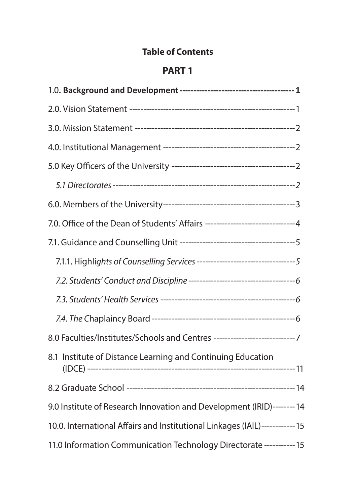#### **Table of Contents**

### **PART 1**

| 7.0. Office of the Dean of Students' Affairs -------------------------------4 |  |
|-------------------------------------------------------------------------------|--|
|                                                                               |  |
|                                                                               |  |
|                                                                               |  |
|                                                                               |  |
|                                                                               |  |
| 8.0 Faculties/Institutes/Schools and Centres ------------------------------7  |  |
| 8.1 Institute of Distance Learning and Continuing Education                   |  |
|                                                                               |  |
| 9.0 Institute of Research Innovation and Development (IRID)-------- 14        |  |
| 10.0. International Affairs and Institutional Linkages (IAIL)------------ 15  |  |
| 11.0 Information Communication Technology Directorate ----------- 15          |  |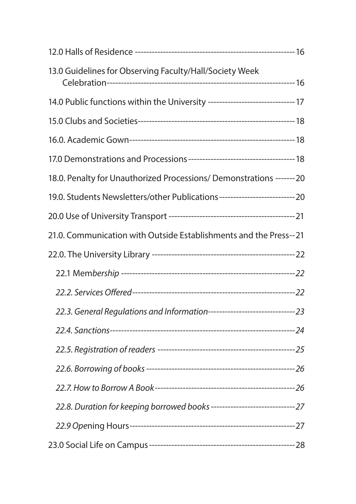| 13.0 Guidelines for Observing Faculty/Hall/Society Week                        |  |
|--------------------------------------------------------------------------------|--|
| 14.0 Public functions within the University ------------------------------- 17 |  |
|                                                                                |  |
|                                                                                |  |
|                                                                                |  |
| 18.0. Penalty for Unauthorized Processions/ Demonstrations ------- 20          |  |
| 19.0. Students Newsletters/other Publications--------------------------- 20    |  |
|                                                                                |  |
| 21.0. Communication with Outside Establishments and the Press--21              |  |
|                                                                                |  |
|                                                                                |  |
|                                                                                |  |
| 22.3. General Regulations and Information-------------------------------- 23   |  |
|                                                                                |  |
|                                                                                |  |
|                                                                                |  |
|                                                                                |  |
| 22.8. Duration for keeping borrowed books ------------------------------- 27   |  |
|                                                                                |  |
|                                                                                |  |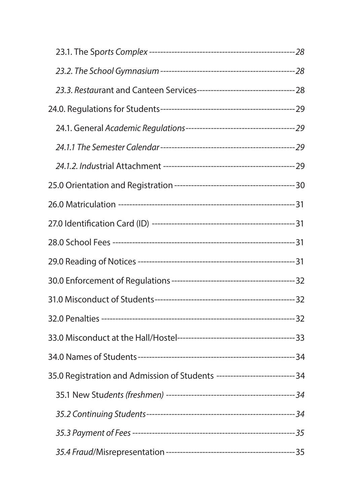| 35.0 Registration and Admission of Students ---------------------------- 34 |  |
|-----------------------------------------------------------------------------|--|
|                                                                             |  |
|                                                                             |  |
|                                                                             |  |
|                                                                             |  |
|                                                                             |  |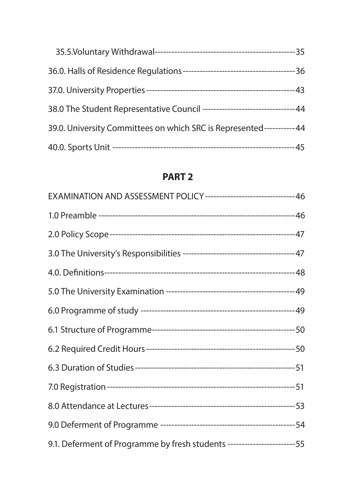| 38.0 The Student Representative Council ---------------------------------44 |  |
|-----------------------------------------------------------------------------|--|
| 39.0. University Committees on which SRC is Represented----------- 44       |  |
|                                                                             |  |

#### **PART 2**

| EXAMINATION AND ASSESSMENT POLICY--------------------------------46       |  |
|---------------------------------------------------------------------------|--|
|                                                                           |  |
|                                                                           |  |
|                                                                           |  |
|                                                                           |  |
|                                                                           |  |
|                                                                           |  |
|                                                                           |  |
|                                                                           |  |
|                                                                           |  |
|                                                                           |  |
|                                                                           |  |
|                                                                           |  |
| 9.1. Deferment of Programme by fresh students ------------------------ 55 |  |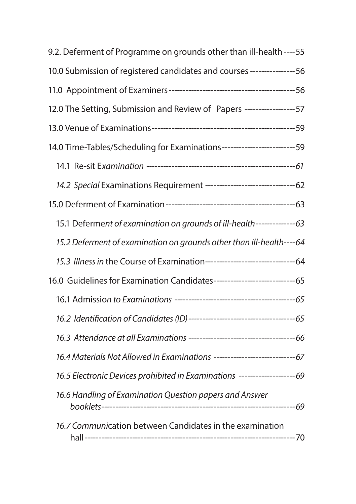| 9.2. Deferment of Programme on grounds other than ill-health ---- 55          |  |
|-------------------------------------------------------------------------------|--|
| 10.0 Submission of registered candidates and courses ---------------- 56      |  |
|                                                                               |  |
| 12.0 The Setting, Submission and Review of Papers ------------------ 57       |  |
|                                                                               |  |
| 14.0 Time-Tables/Scheduling for Examinations-------------------------- 59     |  |
|                                                                               |  |
|                                                                               |  |
|                                                                               |  |
| 15.1 Deferment of examination on grounds of ill-health--------------- 63      |  |
| 15.2 Deferment of examination on grounds other than ill-health----64          |  |
|                                                                               |  |
| 16.0 Guidelines for Examination Candidates-------------------------------- 65 |  |
|                                                                               |  |
|                                                                               |  |
|                                                                               |  |
|                                                                               |  |
| 16.5 Electronic Devices prohibited in Examinations ---------------------69    |  |
| 16.6 Handling of Examination Question papers and Answer                       |  |
| 16.7 Communication between Candidates in the examination                      |  |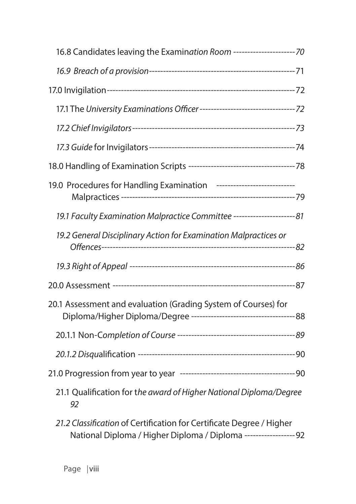| 16.8 Candidates leaving the Examination Room ---------------------- 70                                                                   |  |
|------------------------------------------------------------------------------------------------------------------------------------------|--|
|                                                                                                                                          |  |
|                                                                                                                                          |  |
|                                                                                                                                          |  |
|                                                                                                                                          |  |
|                                                                                                                                          |  |
|                                                                                                                                          |  |
| 19.0 Procedures for Handling Examination ----------------------------                                                                    |  |
| 19.1 Faculty Examination Malpractice Committee ------------------------81                                                                |  |
| 19.2 General Disciplinary Action for Examination Malpractices or                                                                         |  |
|                                                                                                                                          |  |
|                                                                                                                                          |  |
| 20.1 Assessment and evaluation (Grading System of Courses) for                                                                           |  |
|                                                                                                                                          |  |
|                                                                                                                                          |  |
|                                                                                                                                          |  |
| 21.1 Qualification for the award of Higher National Diploma/Degree<br>92                                                                 |  |
| 21.2 Classification of Certification for Certificate Degree / Higher<br>National Diploma / Higher Diploma / Diploma ------------------92 |  |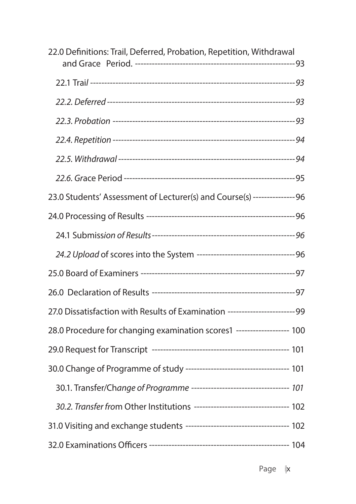| 22.0 Definitions: Trail, Deferred, Probation, Repetition, Withdrawal          |  |
|-------------------------------------------------------------------------------|--|
|                                                                               |  |
|                                                                               |  |
|                                                                               |  |
|                                                                               |  |
|                                                                               |  |
|                                                                               |  |
|                                                                               |  |
| 23.0 Students' Assessment of Lecturer(s) and Course(s) ---------------- 96    |  |
|                                                                               |  |
|                                                                               |  |
|                                                                               |  |
|                                                                               |  |
|                                                                               |  |
| 27.0 Dissatisfaction with Results of Examination --------------------------99 |  |
| 28.0 Procedure for changing examination scores1 ------------------ 100        |  |
|                                                                               |  |
|                                                                               |  |
| 30.1. Transfer/Change of Programme ---------------------------------- 101     |  |
| 30.2. Transfer from Other Institutions ---------------------------------- 102 |  |
|                                                                               |  |
|                                                                               |  |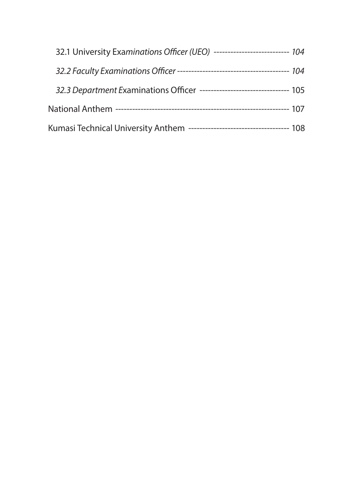| 32.1 University Examinations Officer (UEO) --------------------------- 104 |  |
|----------------------------------------------------------------------------|--|
|                                                                            |  |
| 32.3 Department Examinations Officer --------------------------------- 105 |  |
|                                                                            |  |
| Kumasi Technical University Anthem ----------------------------------- 108 |  |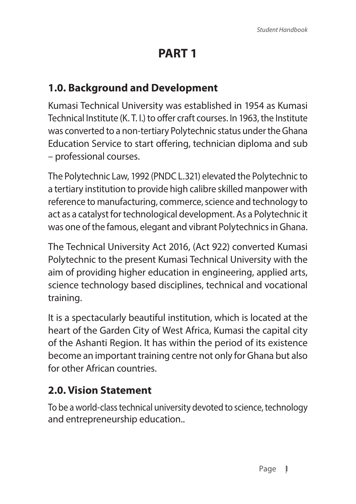# **PART 1**

### **1.0. Background and Development**

Kumasi Technical University was established in 1954 as Kumasi Technical Institute (K. T. I.) to offer craft courses. In 1963, the Institute was converted to a non-tertiary Polytechnic status under the Ghana Education Service to start offering, technician diploma and sub – professional courses.

The Polytechnic Law, 1992 (PNDC L.321) elevated the Polytechnic to a tertiary institution to provide high calibre skilled manpower with reference to manufacturing, commerce, science and technology to act as a catalyst for technological development. As a Polytechnic it was one of the famous, elegant and vibrant Polytechnics in Ghana.

The Technical University Act 2016, (Act 922) converted Kumasi Polytechnic to the present Kumasi Technical University with the aim of providing higher education in engineering, applied arts, science technology based disciplines, technical and vocational training.

It is a spectacularly beautiful institution, which is located at the heart of the Garden City of West Africa, Kumasi the capital city of the Ashanti Region. It has within the period of its existence become an important training centre not only for Ghana but also for other African countries.

### **2.0. Vision Statement**

To be a world-class technical university devoted to science, technology and entrepreneurship education..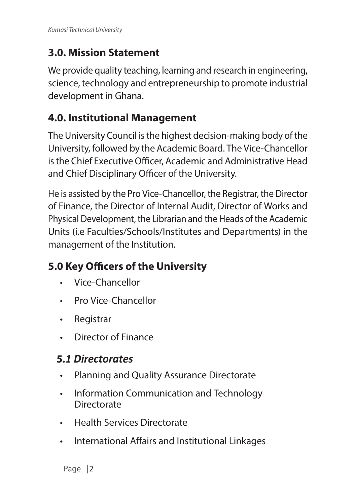### **3.0. Mission Statement**

We provide quality teaching, learning and research in engineering, science, technology and entrepreneurship to promote industrial development in Ghana.

### **4.0. Institutional Management**

The University Council is the highest decision-making body of the University, followed by the Academic Board. The Vice-Chancellor is the Chief Executive Officer, Academic and Administrative Head and Chief Disciplinary Officer of the University.

He is assisted by the Pro Vice-Chancellor, the Registrar, the Director of Finance, the Director of Internal Audit, Director of Works and Physical Development, the Librarian and the Heads of the Academic Units (i.e Faculties/Schools/Institutes and Departments) in the management of the Institution.

### **5.0 Key Officers of the University**

- Vice-Chancellor
- Pro Vice-Chancellor
- Registrar
- Director of Finance

### **5.***1 Directorates*

- Planning and Quality Assurance Directorate
- Information Communication and Technology **Directorate**
- Health Services Directorate
- International Affairs and Institutional Linkages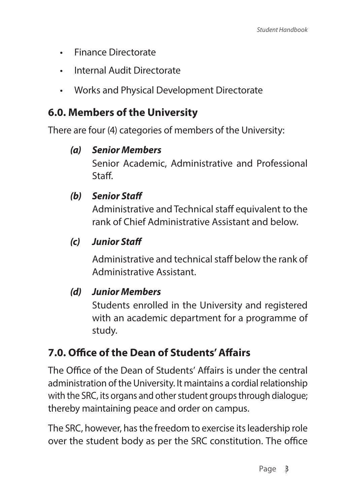- Finance Directorate
- Internal Audit Directorate
- Works and Physical Development Directorate

#### **6.0. Members of the University**

There are four (4) categories of members of the University:

#### *(a) Senior Members*

Senior Academic, Administrative and Professional Staff.

#### *(b) Senior Staff*

Administrative and Technical staff equivalent to the rank of Chief Administrative Assistant and below.

#### *(c) Junior Staff*

Administrative and technical staff below the rank of Administrative Assistant.

#### *(d) Junior Members*

Students enrolled in the University and registered with an academic department for a programme of study.

### **7.0. Office of the Dean of Students' Affairs**

The Office of the Dean of Students' Affairs is under the central administration of the University. It maintains a cordial relationship with the SRC, its organs and other student groups through dialogue; thereby maintaining peace and order on campus.

The SRC, however, has the freedom to exercise its leadership role over the student body as per the SRC constitution. The office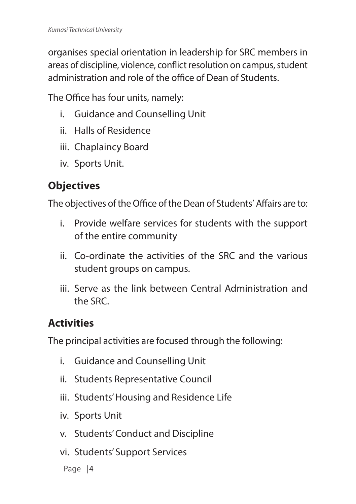organises special orientation in leadership for SRC members in areas of discipline, violence, conflict resolution on campus, student administration and role of the office of Dean of Students.

The Office has four units, namely:

- i. Guidance and Counselling Unit
- ii. Halls of Residence
- iii. Chaplaincy Board
- iv. Sports Unit.

### **Objectives**

The objectives of the Office of the Dean of Students' Affairs are to:

- i. Provide welfare services for students with the support of the entire community
- ii. Co-ordinate the activities of the SRC and the various student groups on campus.
- iii. Serve as the link between Central Administration and the SRC.

### **Activities**

The principal activities are focused through the following:

- i. Guidance and Counselling Unit
- ii. Students Representative Council
- iii. Students' Housing and Residence Life
- iv. Sports Unit
- v. Students' Conduct and Discipline
- vi. Students' Support Services

Page | 4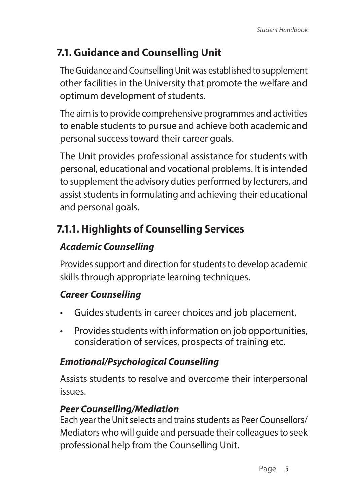### **7.1. Guidance and Counselling Unit**

The Guidance and Counselling Unit was established to supplement other facilities in the University that promote the welfare and optimum development of students.

The aim is to provide comprehensive programmes and activities to enable students to pursue and achieve both academic and personal success toward their career goals.

The Unit provides professional assistance for students with personal, educational and vocational problems. It is intended to supplement the advisory duties performed by lecturers, and assist students in formulating and achieving their educational and personal goals.

### **7.1.1. Highlights of Counselling Services**

#### *Academic Counselling*

Provides support and direction for students to develop academic skills through appropriate learning techniques.

### *Career Counselling*

- Guides students in career choices and job placement.
- Provides students with information on job opportunities, consideration of services, prospects of training etc.

### *Emotional/Psychological Counselling*

Assists students to resolve and overcome their interpersonal issues.

#### *Peer Counselling/Mediation*

Each year the Unit selects and trains students as Peer Counsellors/ Mediators who will guide and persuade their colleagues to seek professional help from the Counselling Unit.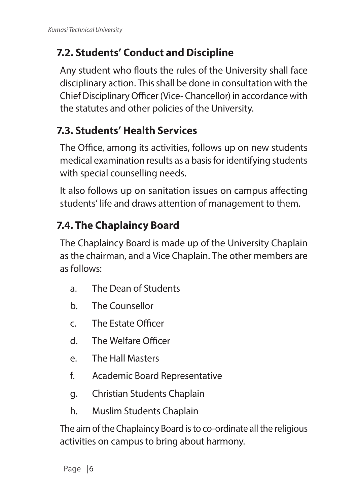### **7.2. Students' Conduct and Discipline**

Any student who flouts the rules of the University shall face disciplinary action. This shall be done in consultation with the Chief Disciplinary Officer (Vice- Chancellor) in accordance with the statutes and other policies of the University.

### **7.3. Students' Health Services**

The Office, among its activities, follows up on new students medical examination results as a basis for identifying students with special counselling needs.

It also follows up on sanitation issues on campus affecting students' life and draws attention of management to them.

### **7.4. The Chaplaincy Board**

The Chaplaincy Board is made up of the University Chaplain as the chairman, and a Vice Chaplain. The other members are as follows:

- a. The Dean of Students
- b. The Counsellor
- c. The Estate Officer
- d. The Welfare Officer
- e. The Hall Masters
- f. Academic Board Representative
- g. Christian Students Chaplain
- h. Muslim Students Chaplain

The aim of the Chaplaincy Board is to co-ordinate all the religious activities on campus to bring about harmony.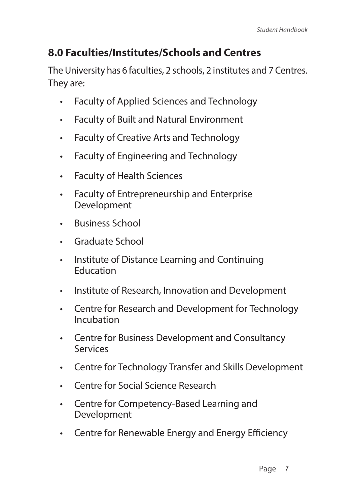### **8.0 Faculties/Institutes/Schools and Centres**

The University has 6 faculties, 2 schools, 2 institutes and 7 Centres. They are:

- Faculty of Applied Sciences and Technology
- Faculty of Built and Natural Environment
- Faculty of Creative Arts and Technology
- Faculty of Engineering and Technology
- Faculty of Health Sciences
- Faculty of Entrepreneurship and Enterprise Development
- Business School
- Graduate School
- Institute of Distance Learning and Continuing **Education**
- Institute of Research, Innovation and Development
- Centre for Research and Development for Technology Incubation
- Centre for Business Development and Consultancy Services
- Centre for Technology Transfer and Skills Development
- Centre for Social Science Research
- Centre for Competency-Based Learning and Development
- Centre for Renewable Energy and Energy Efficiency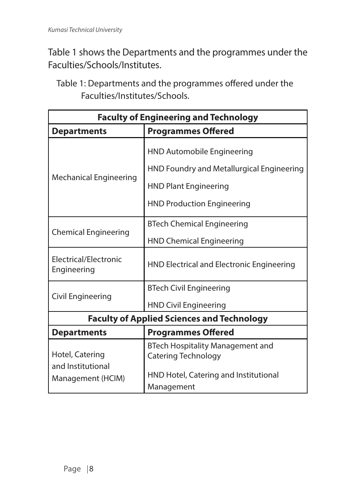Table 1 shows the Departments and the programmes under the Faculties/Schools/Institutes.

Table 1: Departments and the programmes offered under the Faculties/Institutes/Schools.

| <b>Faculty of Engineering and Technology</b>      |                                                         |  |
|---------------------------------------------------|---------------------------------------------------------|--|
| <b>Departments</b>                                | <b>Programmes Offered</b>                               |  |
|                                                   | HND Automobile Engineering                              |  |
|                                                   | HND Foundry and Metallurgical Engineering               |  |
| <b>Mechanical Engineering</b>                     | <b>HND Plant Engineering</b>                            |  |
|                                                   | <b>HND Production Engineering</b>                       |  |
|                                                   | <b>BTech Chemical Engineering</b>                       |  |
| Chemical Engineering                              | <b>HND Chemical Engineering</b>                         |  |
| Electrical/Electronic<br>Engineering              | HND Electrical and Electronic Engineering               |  |
|                                                   | <b>BTech Civil Engineering</b>                          |  |
| Civil Engineering                                 | <b>HND Civil Engineering</b>                            |  |
| <b>Faculty of Applied Sciences and Technology</b> |                                                         |  |
| <b>Departments</b>                                | <b>Programmes Offered</b>                               |  |
| Hotel, Catering<br>and Institutional              | BTech Hospitality Management and<br>Catering Technology |  |
| Management (HCIM)                                 | HND Hotel, Catering and Institutional<br>Management     |  |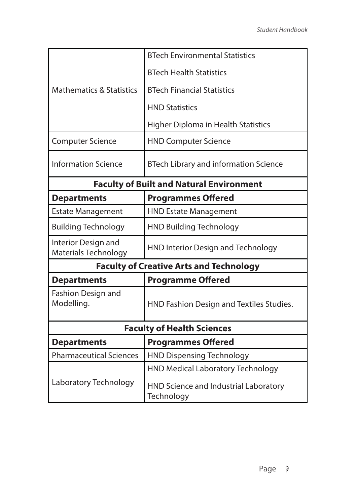|                                                 | <b>BTech Environmental Statistics</b>               |  |
|-------------------------------------------------|-----------------------------------------------------|--|
|                                                 | <b>BTech Health Statistics</b>                      |  |
| <b>Mathematics &amp; Statistics</b>             | <b>BTech Financial Statistics</b>                   |  |
|                                                 | <b>HND Statistics</b>                               |  |
|                                                 | Higher Diploma in Health Statistics                 |  |
| <b>Computer Science</b>                         | <b>HND Computer Science</b>                         |  |
| <b>Information Science</b>                      | BTech Library and information Science               |  |
| <b>Faculty of Built and Natural Environment</b> |                                                     |  |
| <b>Departments</b>                              | <b>Programmes Offered</b>                           |  |
| <b>Estate Management</b>                        | <b>HND Estate Management</b>                        |  |
| <b>Building Technology</b>                      | <b>HND Building Technology</b>                      |  |
| Interior Design and<br>Materials Technology     | HND Interior Design and Technology                  |  |
| <b>Faculty of Creative Arts and Technology</b>  |                                                     |  |
| <b>Departments</b>                              | <b>Programme Offered</b>                            |  |
| Fashion Design and<br>Modelling.                | HND Fashion Design and Textiles Studies.            |  |
| <b>Faculty of Health Sciences</b>               |                                                     |  |
| <b>Programmes Offered</b><br><b>Departments</b> |                                                     |  |
| <b>Pharmaceutical Sciences</b>                  | <b>HND Dispensing Technology</b>                    |  |
|                                                 | <b>HND Medical Laboratory Technology</b>            |  |
| Laboratory Technology                           | HND Science and Industrial Laboratory<br>Technology |  |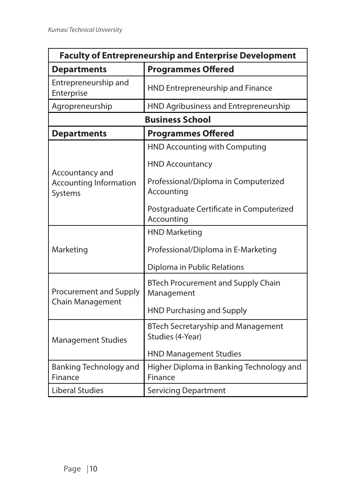| <b>Faculty of Entrepreneurship and Enterprise Development</b> |                                                               |  |
|---------------------------------------------------------------|---------------------------------------------------------------|--|
| <b>Departments</b>                                            | <b>Programmes Offered</b>                                     |  |
| Entrepreneurship and<br>Enterprise                            | HND Entrepreneurship and Finance                              |  |
| Agropreneurship                                               | HND Agribusiness and Entrepreneurship                         |  |
|                                                               | <b>Business School</b>                                        |  |
| <b>Departments</b>                                            | <b>Programmes Offered</b>                                     |  |
|                                                               | HND Accounting with Computing                                 |  |
|                                                               | <b>HND Accountancy</b>                                        |  |
| Accountancy and<br><b>Accounting Information</b><br>Systems   | Professional/Diploma in Computerized<br>Accounting            |  |
|                                                               | Postgraduate Certificate in Computerized<br>Accounting        |  |
|                                                               | <b>HND Marketing</b>                                          |  |
| Marketing                                                     | Professional/Diploma in E-Marketing                           |  |
|                                                               | Diploma in Public Relations                                   |  |
| Procurement and Supply<br>Chain Management                    | <b>BTech Procurement and Supply Chain</b><br>Management       |  |
|                                                               | <b>HND Purchasing and Supply</b>                              |  |
| <b>Management Studies</b>                                     | <b>BTech Secretaryship and Management</b><br>Studies (4-Year) |  |
|                                                               | <b>HND Management Studies</b>                                 |  |
| <b>Banking Technology and</b><br>Finance                      | Higher Diploma in Banking Technology and<br>Finance           |  |
| <b>Liberal Studies</b>                                        | <b>Servicing Department</b>                                   |  |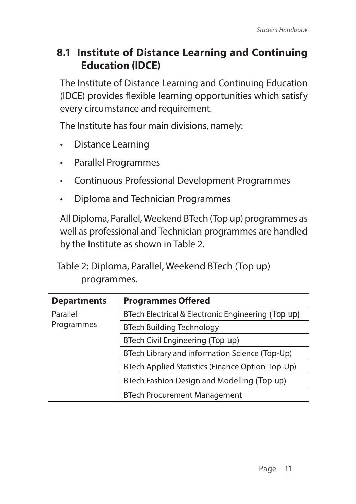### **8.1 Institute of Distance Learning and Continuing Education (IDCE)**

The Institute of Distance Learning and Continuing Education (IDCE) provides flexible learning opportunities which satisfy every circumstance and requirement.

The Institute has four main divisions, namely:

- Distance Learning
- Parallel Programmes
- Continuous Professional Development Programmes
- Diploma and Technician Programmes

All Diploma, Parallel, Weekend BTech (Top up) programmes as well as professional and Technician programmes are handled by the Institute as shown in Table 2.

Table 2: Diploma, Parallel, Weekend BTech (Top up) programmes.

| <b>Departments</b>     | <b>Programmes Offered</b>                          |
|------------------------|----------------------------------------------------|
| Parallel<br>Programmes | BTech Electrical & Electronic Engineering (Top up) |
|                        | <b>BTech Building Technology</b>                   |
|                        | BTech Civil Engineering (Top up)                   |
|                        | BTech Library and information Science (Top-Up)     |
|                        | BTech Applied Statistics (Finance Option-Top-Up)   |
|                        | BTech Fashion Design and Modelling (Top up)        |
|                        | <b>BTech Procurement Management</b>                |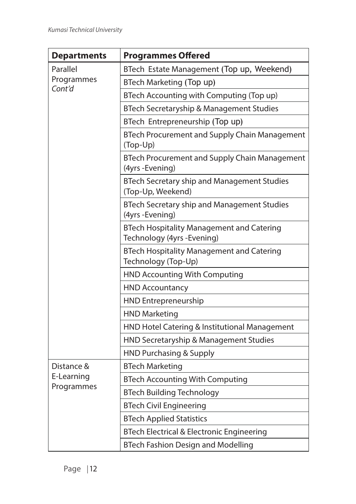| <b>Departments</b>       | <b>Programmes Offered</b>                                                       |
|--------------------------|---------------------------------------------------------------------------------|
| Parallel                 | BTech Estate Management (Top up, Weekend)                                       |
| Programmes               | BTech Marketing (Top up)                                                        |
| Cont'd                   | BTech Accounting with Computing (Top up)                                        |
|                          | BTech Secretaryship & Management Studies                                        |
|                          | BTech Entrepreneurship (Top up)                                                 |
|                          | BTech Procurement and Supply Chain Management<br>(Top-Up)                       |
|                          | BTech Procurement and Supply Chain Management<br>(4yrs - Evening)               |
|                          | BTech Secretary ship and Management Studies<br>(Top-Up, Weekend)                |
|                          | BTech Secretary ship and Management Studies<br>(4yrs - Evening)                 |
|                          | <b>BTech Hospitality Management and Catering</b><br>Technology (4yrs - Evening) |
|                          | <b>BTech Hospitality Management and Catering</b><br>Technology (Top-Up)         |
|                          | HND Accounting With Computing                                                   |
|                          | <b>HND Accountancy</b>                                                          |
|                          | HND Entrepreneurship                                                            |
|                          | <b>HND Marketing</b>                                                            |
|                          | HND Hotel Catering & Institutional Management                                   |
|                          | HND Secretaryship & Management Studies                                          |
|                          | <b>HND Purchasing &amp; Supply</b>                                              |
| Distance &               | <b>BTech Marketing</b>                                                          |
| E-Learning<br>Programmes | <b>BTech Accounting With Computing</b>                                          |
|                          | <b>BTech Building Technology</b>                                                |
|                          | <b>BTech Civil Engineering</b>                                                  |
|                          | <b>BTech Applied Statistics</b>                                                 |
|                          | BTech Electrical & Electronic Engineering                                       |
|                          | <b>BTech Fashion Design and Modelling</b>                                       |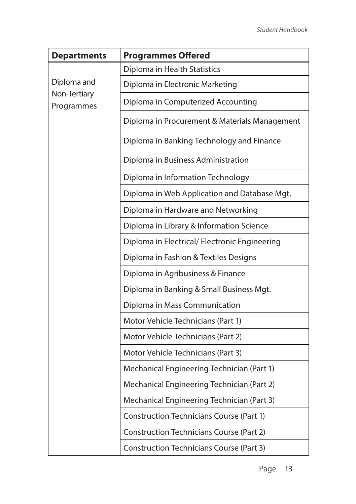| <b>Departments</b>                        | <b>Programmes Offered</b>                       |
|-------------------------------------------|-------------------------------------------------|
| Diploma and<br>Non-Tertiary<br>Programmes | Diploma in Health Statistics                    |
|                                           | Diploma in Electronic Marketing                 |
|                                           | Diploma in Computerized Accounting              |
|                                           | Diploma in Procurement & Materials Management   |
|                                           | Diploma in Banking Technology and Finance       |
|                                           | Diploma in Business Administration              |
|                                           | Diploma in Information Technology               |
|                                           | Diploma in Web Application and Database Mgt.    |
|                                           | Diploma in Hardware and Networking              |
|                                           | Diploma in Library & Information Science        |
|                                           | Diploma in Electrical/ Electronic Engineering   |
|                                           | Diploma in Fashion & Textiles Designs           |
|                                           | Diploma in Agribusiness & Finance               |
|                                           | Diploma in Banking & Small Business Mgt.        |
|                                           | Diploma in Mass Communication                   |
|                                           | Motor Vehicle Technicians (Part 1)              |
|                                           | Motor Vehicle Technicians (Part 2)              |
|                                           | Motor Vehicle Technicians (Part 3)              |
|                                           | Mechanical Engineering Technician (Part 1)      |
|                                           | Mechanical Engineering Technician (Part 2)      |
|                                           | Mechanical Engineering Technician (Part 3)      |
|                                           | Construction Technicians Course (Part 1)        |
|                                           | <b>Construction Technicians Course (Part 2)</b> |
|                                           | Construction Technicians Course (Part 3)        |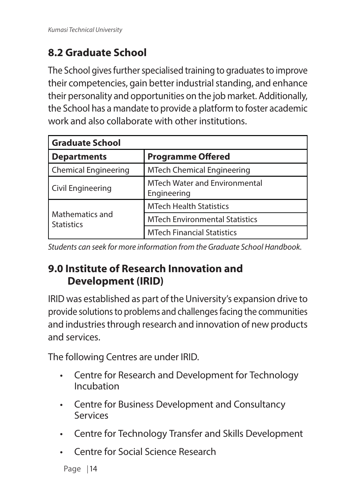### **8.2 Graduate School**

The School gives further specialised training to graduates to improve their competencies, gain better industrial standing, and enhance their personality and opportunities on the job market. Additionally, the School has a mandate to provide a platform to foster academic work and also collaborate with other institutions.

| <b>Graduate School</b>               |                                                     |  |  |  |
|--------------------------------------|-----------------------------------------------------|--|--|--|
| <b>Departments</b>                   | <b>Programme Offered</b>                            |  |  |  |
| <b>Chemical Engineering</b>          | <b>MTech Chemical Engineering</b>                   |  |  |  |
| Civil Engineering                    | <b>MTech Water and Environmental</b><br>Engineering |  |  |  |
|                                      | <b>MTech Health Statistics</b>                      |  |  |  |
| Mathematics and<br><b>Statistics</b> | <b>MTech Environmental Statistics</b>               |  |  |  |
|                                      | <b>MTech Financial Statistics</b>                   |  |  |  |

*Students can seek for more information from the Graduate School Handbook.*

### **9.0 Institute of Research Innovation and Development (IRID)**

IRID was established as part of the University's expansion drive to provide solutions to problems and challenges facing the communities and industries through research and innovation of new products and services.

The following Centres are under IRID.

- Centre for Research and Development for Technology Incubation
- Centre for Business Development and Consultancy Services
- Centre for Technology Transfer and Skills Development
- Centre for Social Science Research

```
Page | 14
```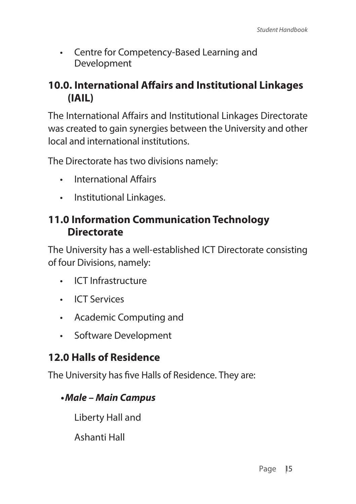• Centre for Competency-Based Learning and Development

#### **10.0. International Affairs and Institutional Linkages (IAIL)**

The International Affairs and Institutional Linkages Directorate was created to gain synergies between the University and other local and international institutions.

The Directorate has two divisions namely:

- International Affairs
- Institutional Linkages.

#### **11.0 Information Communication Technology Directorate**

The University has a well-established ICT Directorate consisting of four Divisions, namely:

- ICT Infrastructure
- ICT Services
- Academic Computing and
- Software Development

### **12.0 Halls of Residence**

The University has five Halls of Residence. They are:

#### *•Male – Main Campus*

Liberty Hall and

Ashanti Hall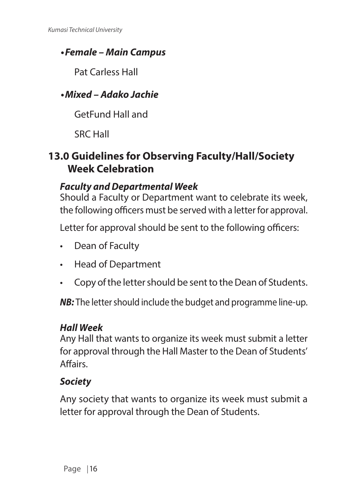#### *•Female – Main Campus*

Pat Carless Hall

### *•Mixed – Adako Jachie*

GetFund Hall and

SRC Hall

### **13.0 Guidelines for Observing Faculty/Hall/Society Week Celebration**

#### *Faculty and Departmental Week*

Should a Faculty or Department want to celebrate its week, the following officers must be served with a letter for approval.

Letter for approval should be sent to the following officers:

- Dean of Faculty
- Head of Department
- Copy of the letter should be sent to the Dean of Students.

*NB:* The letter should include the budget and programme line-up.

#### *Hall Week*

Any Hall that wants to organize its week must submit a letter for approval through the Hall Master to the Dean of Students' Affairs.

### *Society*

Any society that wants to organize its week must submit a letter for approval through the Dean of Students.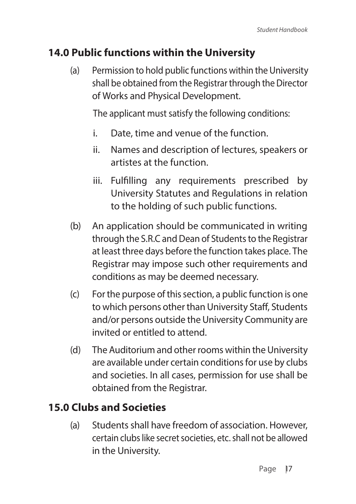#### **14.0 Public functions within the University**

(a) Permission to hold public functions within the University shall be obtained from the Registrar through the Director of Works and Physical Development.

The applicant must satisfy the following conditions:

- i. Date, time and venue of the function.
- ii. Names and description of lectures, speakers or artistes at the function.
- iii. Fulfilling any requirements prescribed by University Statutes and Regulations in relation to the holding of such public functions.
- (b) An application should be communicated in writing through the S.R.C and Dean of Students to the Registrar at least three days before the function takes place. The Registrar may impose such other requirements and conditions as may be deemed necessary.
- (c) For the purpose of this section, a public function is one to which persons other than University Staff, Students and/or persons outside the University Community are invited or entitled to attend.
- (d) The Auditorium and other rooms within the University are available under certain conditions for use by clubs and societies. In all cases, permission for use shall be obtained from the Registrar.

### **15.0 Clubs and Societies**

(a) Students shall have freedom of association. However, certain clubs like secret societies, etc. shall not be allowed in the University.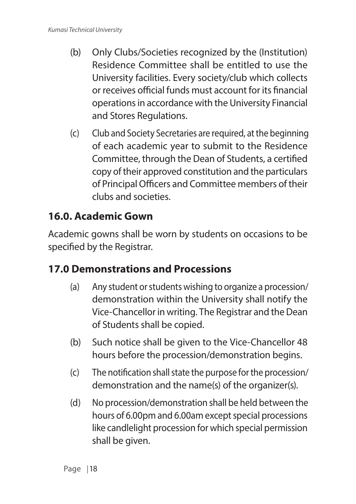- (b) Only Clubs/Societies recognized by the (Institution) Residence Committee shall be entitled to use the University facilities. Every society/club which collects or receives official funds must account for its financial operations in accordance with the University Financial and Stores Regulations.
- (c) Club and Society Secretaries are required, at the beginning of each academic year to submit to the Residence Committee, through the Dean of Students, a certified copy of their approved constitution and the particulars of Principal Officers and Committee members of their clubs and societies.

### **16.0. Academic Gown**

Academic gowns shall be worn by students on occasions to be specified by the Registrar.

### **17.0 Demonstrations and Processions**

- (a) Any student or students wishing to organize a procession/ demonstration within the University shall notify the Vice-Chancellor in writing. The Registrar and the Dean of Students shall be copied.
- (b) Such notice shall be given to the Vice-Chancellor 48 hours before the procession/demonstration begins.
- (c) The notification shall state the purpose for the procession/ demonstration and the name(s) of the organizer(s).
- (d) No procession/demonstration shall be held between the hours of 6.00pm and 6.00am except special processions like candlelight procession for which special permission shall be given.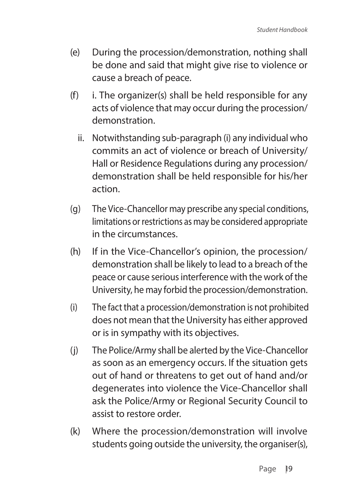- (e) During the procession/demonstration, nothing shall be done and said that might give rise to violence or cause a breach of peace.
- $(f)$  i. The organizer(s) shall be held responsible for any acts of violence that may occur during the procession/ demonstration.
	- ii. Notwithstanding sub-paragraph (i) any individual who commits an act of violence or breach of University/ Hall or Residence Regulations during any procession/ demonstration shall be held responsible for his/her action.
- (g) The Vice-Chancellor may prescribe any special conditions, limitations or restrictions as may be considered appropriate in the circumstances.
- (h) If in the Vice-Chancellor's opinion, the procession/ demonstration shall be likely to lead to a breach of the peace or cause serious interference with the work of the University, he may forbid the procession/demonstration.
- (i) The fact that a procession/demonstration is not prohibited does not mean that the University has either approved or is in sympathy with its objectives.
- (j) The Police/Army shall be alerted by the Vice-Chancellor as soon as an emergency occurs. If the situation gets out of hand or threatens to get out of hand and/or degenerates into violence the Vice-Chancellor shall ask the Police/Army or Regional Security Council to assist to restore order.
- (k) Where the procession/demonstration will involve students going outside the university, the organiser(s),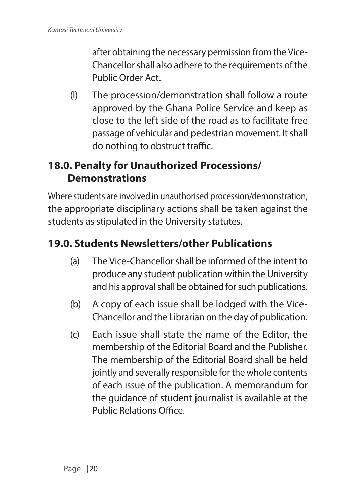after obtaining the necessary permission from the Vice-Chancellor shall also adhere to the requirements of the Public Order Act.

(l) The procession/demonstration shall follow a route approved by the Ghana Police Service and keep as close to the left side of the road as to facilitate free passage of vehicular and pedestrian movement. It shall do nothing to obstruct traffic.

### **18.0. Penalty for Unauthorized Processions/ Demonstrations**

Where students are involved in unauthorised procession/demonstration, the appropriate disciplinary actions shall be taken against the students as stipulated in the University statutes.

### **19.0. Students Newsletters/other Publications**

- (a) The Vice-Chancellor shall be informed of the intent to produce any student publication within the University and his approval shall be obtained for such publications.
- (b) A copy of each issue shall be lodged with the Vice-Chancellor and the Librarian on the day of publication.
- (c) Each issue shall state the name of the Editor, the membership of the Editorial Board and the Publisher. The membership of the Editorial Board shall be held jointly and severally responsible for the whole contents of each issue of the publication. A memorandum for the guidance of student journalist is available at the Public Relations Office.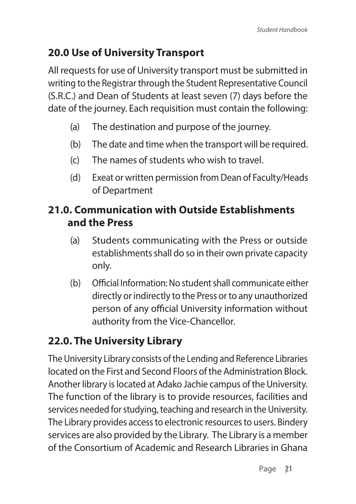### **20.0 Use of University Transport**

All requests for use of University transport must be submitted in writing to the Registrar through the Student Representative Council (S.R.C.) and Dean of Students at least seven (7) days before the date of the journey. Each requisition must contain the following:

- (a) The destination and purpose of the journey.
- (b) The date and time when the transport will be required.
- (c) The names of students who wish to travel.
- (d) Exeat or written permission from Dean of Faculty/Heads of Department

### **21.0. Communication with Outside Establishments and the Press**

- (a) Students communicating with the Press or outside establishments shall do so in their own private capacity only.
- (b) Official Information: No student shall communicate either directly or indirectly to the Press or to any unauthorized person of any official University information without authority from the Vice-Chancellor.

### **22.0. The University Library**

The University Library consists of the Lending and Reference Libraries located on the First and Second Floors of the Administration Block. Another library is located at Adako Jachie campus of the University. The function of the library is to provide resources, facilities and services needed for studying, teaching and research in the University. The Library provides access to electronic resources to users. Bindery services are also provided by the Library. The Library is a member of the Consortium of Academic and Research Libraries in Ghana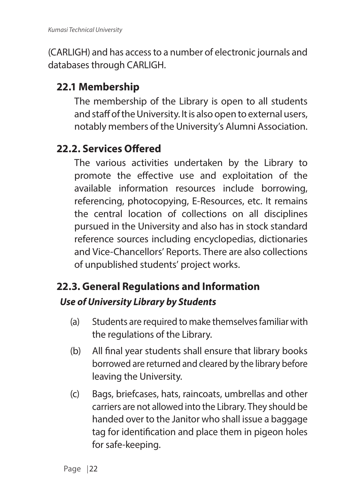(CARLIGH) and has access to a number of electronic journals and databases through CARLIGH.

### **22.1 Membership**

The membership of the Library is open to all students and staff of the University. It is also open to external users, notably members of the University's Alumni Association.

### **22.2. Services Offered**

The various activities undertaken by the Library to promote the effective use and exploitation of the available information resources include borrowing, referencing, photocopying, E-Resources, etc. It remains the central location of collections on all disciplines pursued in the University and also has in stock standard reference sources including encyclopedias, dictionaries and Vice-Chancellors' Reports. There are also collections of unpublished students' project works.

# **22.3. General Regulations and Information**

### *Use of University Library by Students*

- (a) Students are required to make themselves familiar with the regulations of the Library.
- (b) All final year students shall ensure that library books borrowed are returned and cleared by the library before leaving the University.
- (c) Bags, briefcases, hats, raincoats, umbrellas and other carriers are not allowed into the Library. They should be handed over to the Janitor who shall issue a baggage tag for identification and place them in pigeon holes for safe-keeping.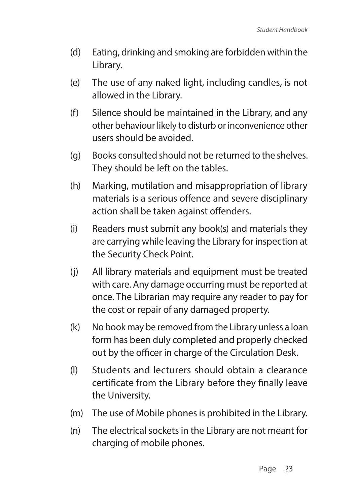- (d) Eating, drinking and smoking are forbidden within the Library.
- (e) The use of any naked light, including candles, is not allowed in the Library.
- (f) Silence should be maintained in the Library, and any other behaviour likely to disturb or inconvenience other users should be avoided.
- (g) Books consulted should not be returned to the shelves. They should be left on the tables.
- (h) Marking, mutilation and misappropriation of library materials is a serious offence and severe disciplinary action shall be taken against offenders.
- (i) Readers must submit any book(s) and materials they are carrying while leaving the Library for inspection at the Security Check Point.
- (j) All library materials and equipment must be treated with care. Any damage occurring must be reported at once. The Librarian may require any reader to pay for the cost or repair of any damaged property.
- (k) No book may be removed from the Library unless a loan form has been duly completed and properly checked out by the officer in charge of the Circulation Desk.
- (l) Students and lecturers should obtain a clearance certificate from the Library before they finally leave the University.
- (m) The use of Mobile phones is prohibited in the Library.
- (n) The electrical sockets in the Library are not meant for charging of mobile phones.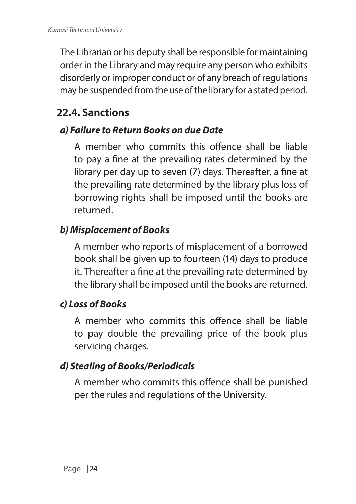The Librarian or his deputy shall be responsible for maintaining order in the Library and may require any person who exhibits disorderly or improper conduct or of any breach of regulations may be suspended from the use of the library for a stated period.

### **22.4. Sanctions**

#### *a) Failure to Return Books on due Date*

A member who commits this offence shall be liable to pay a fine at the prevailing rates determined by the library per day up to seven (7) days. Thereafter, a fine at the prevailing rate determined by the library plus loss of borrowing rights shall be imposed until the books are returned.

### *b) Misplacement of Books*

A member who reports of misplacement of a borrowed book shall be given up to fourteen (14) days to produce it. Thereafter a fine at the prevailing rate determined by the library shall be imposed until the books are returned.

### *c) Loss of Books*

A member who commits this offence shall be liable to pay double the prevailing price of the book plus servicing charges.

### *d) Stealing of Books/Periodicals*

A member who commits this offence shall be punished per the rules and regulations of the University.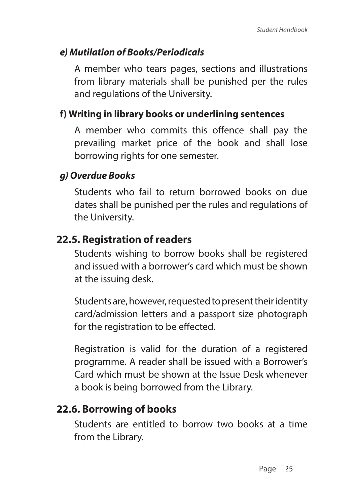#### *e) Mutilation of Books/Periodicals*

A member who tears pages, sections and illustrations from library materials shall be punished per the rules and regulations of the University.

#### **f) Writing in library books or underlining sentences**

A member who commits this offence shall pay the prevailing market price of the book and shall lose borrowing rights for one semester.

#### *g) Overdue Books*

Students who fail to return borrowed books on due dates shall be punished per the rules and regulations of the University.

#### **22.5. Registration of readers**

Students wishing to borrow books shall be registered and issued with a borrower's card which must be shown at the issuing desk.

Students are, however, requested to present their identity card/admission letters and a passport size photograph for the registration to be effected.

Registration is valid for the duration of a registered programme. A reader shall be issued with a Borrower's Card which must be shown at the Issue Desk whenever a book is being borrowed from the Library.

### **22.6. Borrowing of books**

Students are entitled to borrow two books at a time from the Library.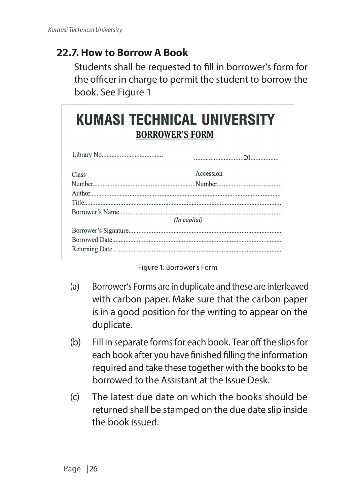### **22.7. How to Borrow A Book**

Students shall be requested to fill in borrower's form for the officer in charge to permit the student to borrow the book. See Figure 1

# **KUMASI TECHNICAL UNIVERSITY BORROWER'S FORM**

| Class        | Accession |
|--------------|-----------|
|              |           |
|              |           |
|              |           |
|              |           |
| (In capital) |           |
|              |           |
|              |           |
|              |           |

Figure 1: Borrower's Form

- (a) Borrower's Forms are in duplicate and these are interleaved with carbon paper. Make sure that the carbon paper is in a good position for the writing to appear on the duplicate.
- (b) Fill in separate forms for each book. Tear off the slips for each book after you have finished filling the information required and take these together with the books to be borrowed to the Assistant at the Issue Desk.
- (c) The latest due date on which the books should be returned shall be stamped on the due date slip inside the book issued.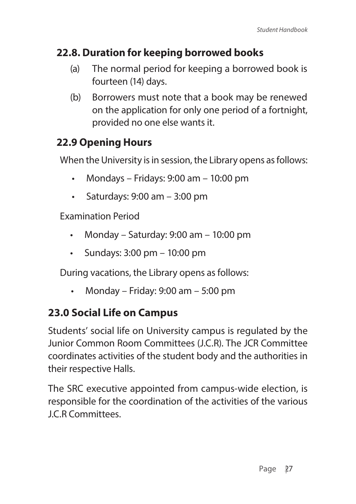## **22.8. Duration for keeping borrowed books**

- (a) The normal period for keeping a borrowed book is fourteen (14) days.
- (b) Borrowers must note that a book may be renewed on the application for only one period of a fortnight, provided no one else wants it.

# **22.9 Opening Hours**

When the University is in session, the Library opens as follows:

- Mondays Fridays:  $9:00$  am  $10:00$  pm
- Saturdays: 9:00 am 3:00 pm

Examination Period

- Monday Saturday: 9:00 am 10:00 pm
- Sundays: 3:00 pm 10:00 pm

During vacations, the Library opens as follows:

• Monday – Friday: 9:00 am – 5:00 pm

# **23.0 Social Life on Campus**

Students' social life on University campus is regulated by the Junior Common Room Committees (J.C.R). The JCR Committee coordinates activities of the student body and the authorities in their respective Halls.

The SRC executive appointed from campus-wide election, is responsible for the coordination of the activities of the various J.C.R Committees.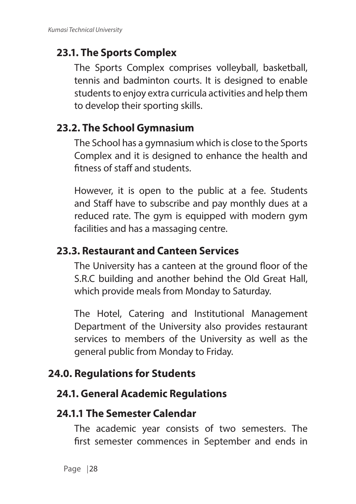# **23.1. The Sports Complex**

The Sports Complex comprises volleyball, basketball, tennis and badminton courts. It is designed to enable students to enjoy extra curricula activities and help them to develop their sporting skills.

## **23.2. The School Gymnasium**

The School has a gymnasium which is close to the Sports Complex and it is designed to enhance the health and fitness of staff and students.

However, it is open to the public at a fee. Students and Staff have to subscribe and pay monthly dues at a reduced rate. The gym is equipped with modern gym facilities and has a massaging centre.

## **23.3. Restaurant and Canteen Services**

The University has a canteen at the ground floor of the S.R.C building and another behind the Old Great Hall, which provide meals from Monday to Saturday.

The Hotel, Catering and Institutional Management Department of the University also provides restaurant services to members of the University as well as the general public from Monday to Friday.

## **24.0. Regulations for Students**

### **24.1. General Academic Regulations**

### **24.1.1 The Semester Calendar**

The academic year consists of two semesters. The first semester commences in September and ends in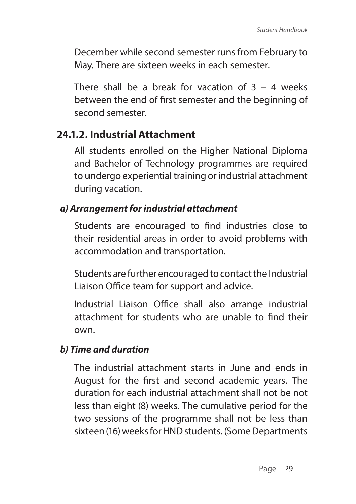December while second semester runs from February to May. There are sixteen weeks in each semester.

There shall be a break for vacation of  $3 - 4$  weeks between the end of first semester and the beginning of second semester.

## **24.1.2. Industrial Attachment**

All students enrolled on the Higher National Diploma and Bachelor of Technology programmes are required to undergo experiential training or industrial attachment during vacation.

#### *a) Arrangement for industrial attachment*

Students are encouraged to find industries close to their residential areas in order to avoid problems with accommodation and transportation.

Students are further encouraged to contact the Industrial Liaison Office team for support and advice.

Industrial Liaison Office shall also arrange industrial attachment for students who are unable to find their own.

#### *b) Time and duration*

The industrial attachment starts in June and ends in August for the first and second academic years. The duration for each industrial attachment shall not be not less than eight (8) weeks. The cumulative period for the two sessions of the programme shall not be less than sixteen (16) weeks for HND students. (Some Departments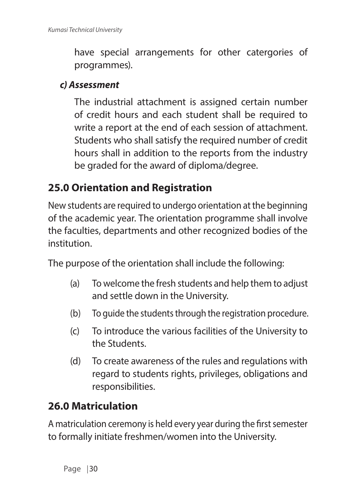have special arrangements for other catergories of programmes).

#### *c) Assessment*

The industrial attachment is assigned certain number of credit hours and each student shall be required to write a report at the end of each session of attachment. Students who shall satisfy the required number of credit hours shall in addition to the reports from the industry be graded for the award of diploma/degree.

## **25.0 Orientation and Registration**

New students are required to undergo orientation at the beginning of the academic year. The orientation programme shall involve the faculties, departments and other recognized bodies of the institution.

The purpose of the orientation shall include the following:

- (a) To welcome the fresh students and help them to adjust and settle down in the University.
- (b) To guide the students through the registration procedure.
- (c) To introduce the various facilities of the University to the Students.
- (d) To create awareness of the rules and regulations with regard to students rights, privileges, obligations and responsibilities.

# **26.0 Matriculation**

A matriculation ceremony is held every year during the first semester to formally initiate freshmen/women into the University.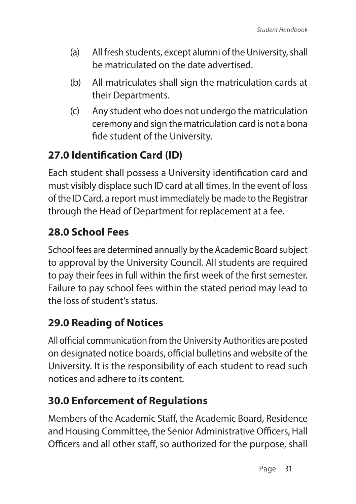- (a) All fresh students, except alumni of the University, shall be matriculated on the date advertised.
- (b) All matriculates shall sign the matriculation cards at their Departments.
- (c) Any student who does not undergo the matriculation ceremony and sign the matriculation card is not a bona fide student of the University.

# **27.0 Identification Card (ID)**

Each student shall possess a University identification card and must visibly displace such ID card at all times. In the event of loss of the ID Card, a report must immediately be made to the Registrar through the Head of Department for replacement at a fee.

# **28.0 School Fees**

School fees are determined annually by the Academic Board subject to approval by the University Council. All students are required to pay their fees in full within the first week of the first semester. Failure to pay school fees within the stated period may lead to the loss of student's status.

# **29.0 Reading of Notices**

All official communication from the University Authorities are posted on designated notice boards, official bulletins and website of the University. It is the responsibility of each student to read such notices and adhere to its content.

# **30.0 Enforcement of Regulations**

Members of the Academic Staff, the Academic Board, Residence and Housing Committee, the Senior Administrative Officers, Hall Officers and all other staff, so authorized for the purpose, shall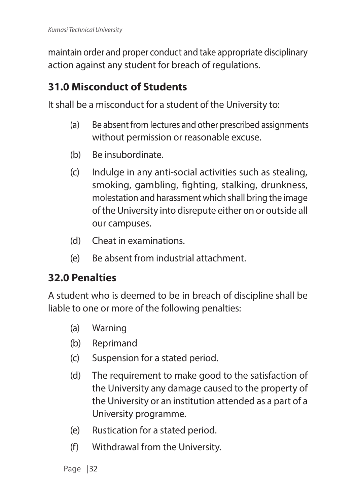maintain order and proper conduct and take appropriate disciplinary action against any student for breach of regulations.

## **31.0 Misconduct of Students**

It shall be a misconduct for a student of the University to:

- (a) Be absent from lectures and other prescribed assignments without permission or reasonable excuse.
- (b) Be insubordinate.
- (c) Indulge in any anti-social activities such as stealing, smoking, gambling, fighting, stalking, drunkness, molestation and harassment which shall bring the image of the University into disrepute either on or outside all our campuses.
- (d) Cheat in examinations.
- (e) Be absent from industrial attachment.

## **32.0 Penalties**

A student who is deemed to be in breach of discipline shall be liable to one or more of the following penalties:

- (a) Warning
- (b) Reprimand
- (c) Suspension for a stated period.
- (d) The requirement to make good to the satisfaction of the University any damage caused to the property of the University or an institution attended as a part of a University programme.
- (e) Rustication for a stated period.
- (f) Withdrawal from the University.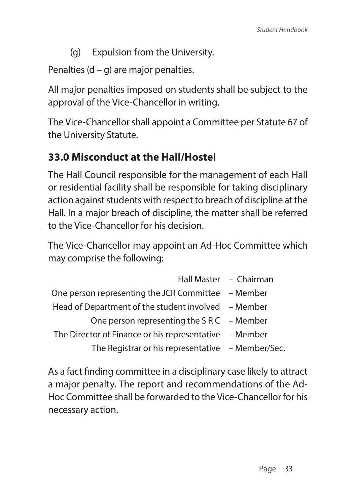(g) Expulsion from the University.

Penalties  $(d - q)$  are major penalties.

All major penalties imposed on students shall be subject to the approval of the Vice-Chancellor in writing.

The Vice-Chancellor shall appoint a Committee per Statute 67 of the University Statute.

# **33.0 Misconduct at the Hall/Hostel**

The Hall Council responsible for the management of each Hall or residential facility shall be responsible for taking disciplinary action against students with respect to breach of discipline at the Hall. In a major breach of discipline, the matter shall be referred to the Vice-Chancellor for his decision.

The Vice-Chancellor may appoint an Ad-Hoc Committee which may comprise the following:

|                                                        | Hall Master - Chairman |
|--------------------------------------------------------|------------------------|
| One person representing the JCR Committee – Member     |                        |
| Head of Department of the student involved – Member    |                        |
| One person representing the $S \, R \, C$ – Member     |                        |
| The Director of Finance or his representative – Member |                        |
| The Registrar or his representative - Member/Sec.      |                        |

As a fact finding committee in a disciplinary case likely to attract a major penalty. The report and recommendations of the Ad-Hoc Committee shall be forwarded to the Vice-Chancellor for his necessary action.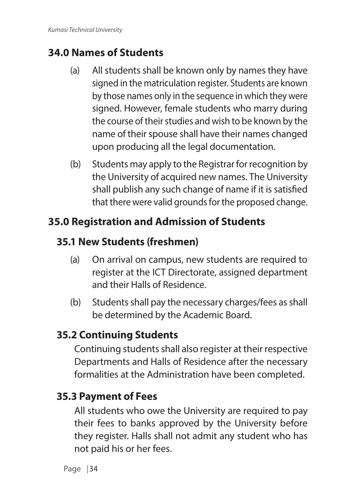# **34.0 Names of Students**

- (a) All students shall be known only by names they have signed in the matriculation register. Students are known by those names only in the sequence in which they were signed. However, female students who marry during the course of their studies and wish to be known by the name of their spouse shall have their names changed upon producing all the legal documentation.
- (b) Students may apply to the Registrar for recognition by the University of acquired new names. The University shall publish any such change of name if it is satisfied that there were valid grounds for the proposed change.

# **35.0 Registration and Admission of Students**

# **35.1 New Students (freshmen)**

- (a) On arrival on campus, new students are required to register at the ICT Directorate, assigned department and their Halls of Residence.
- (b) Students shall pay the necessary charges/fees as shall be determined by the Academic Board.

# **35.2 Continuing Students**

Continuing students shall also register at their respective Departments and Halls of Residence after the necessary formalities at the Administration have been completed.

# **35.3 Payment of Fees**

All students who owe the University are required to pay their fees to banks approved by the University before they register. Halls shall not admit any student who has not paid his or her fees.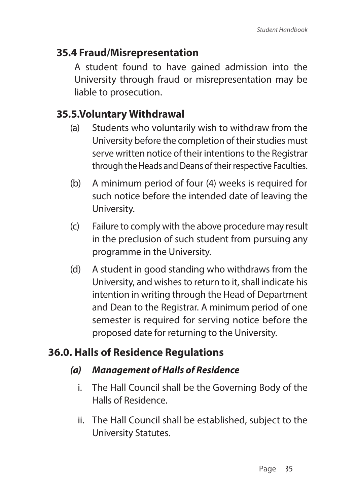## **35.4 Fraud/Misrepresentation**

A student found to have gained admission into the University through fraud or misrepresentation may be liable to prosecution.

## **35.5.Voluntary Withdrawal**

- (a) Students who voluntarily wish to withdraw from the University before the completion of their studies must serve written notice of their intentions to the Registrar through the Heads and Deans of their respective Faculties.
- (b) A minimum period of four (4) weeks is required for such notice before the intended date of leaving the University.
- (c) Failure to comply with the above procedure may result in the preclusion of such student from pursuing any programme in the University.
- (d) A student in good standing who withdraws from the University, and wishes to return to it, shall indicate his intention in writing through the Head of Department and Dean to the Registrar. A minimum period of one semester is required for serving notice before the proposed date for returning to the University.

## **36.0. Halls of Residence Regulations**

#### *(a) Management of Halls of Residence*

- i. The Hall Council shall be the Governing Body of the Halls of Residence.
- ii. The Hall Council shall be established, subject to the University Statutes.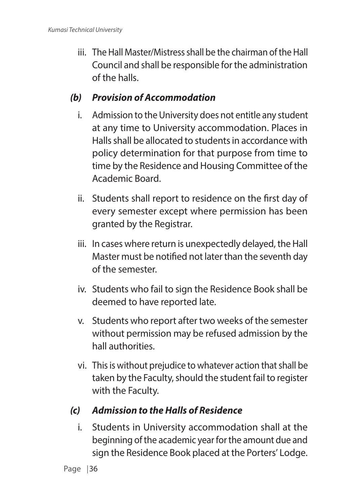iii. The Hall Master/Mistress shall be the chairman of the Hall Council and shall be responsible for the administration of the halls.

### *(b) Provision of Accommodation*

- i. Admission to the University does not entitle any student at any time to University accommodation. Places in Halls shall be allocated to students in accordance with policy determination for that purpose from time to time by the Residence and Housing Committee of the Academic Board.
- ii. Students shall report to residence on the first day of every semester except where permission has been granted by the Registrar.
- iii. In cases where return is unexpectedly delayed, the Hall Master must be notified not later than the seventh day of the semester.
- iv. Students who fail to sign the Residence Book shall be deemed to have reported late.
- v. Students who report after two weeks of the semester without permission may be refused admission by the hall authorities.
- vi. This is without prejudice to whatever action that shall be taken by the Faculty, should the student fail to register with the Faculty.

### *(c) Admission to the Halls of Residence*

i. Students in University accommodation shall at the beginning of the academic year for the amount due and sign the Residence Book placed at the Porters' Lodge.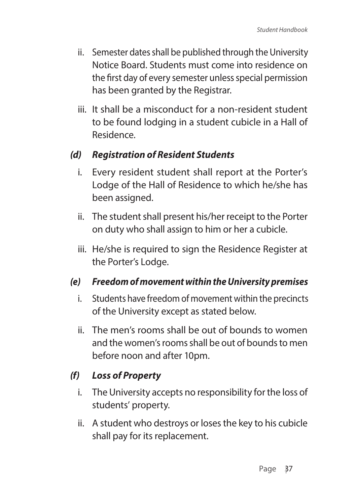- ii. Semester dates shall be published through the University Notice Board. Students must come into residence on the first day of every semester unless special permission has been granted by the Registrar.
- iii. It shall be a misconduct for a non-resident student to be found lodging in a student cubicle in a Hall of Residence.

#### *(d) Registration of Resident Students*

- i. Every resident student shall report at the Porter's Lodge of the Hall of Residence to which he/she has been assigned.
- ii. The student shall present his/her receipt to the Porter on duty who shall assign to him or her a cubicle.
- iii. He/she is required to sign the Residence Register at the Porter's Lodge.

#### *(e) Freedom of movement within the University premises*

- i. Students have freedom of movement within the precincts of the University except as stated below.
- ii. The men's rooms shall be out of bounds to women and the women's rooms shall be out of bounds to men before noon and after 10pm.

### *(f) Loss of Property*

- i. The University accepts no responsibility for the loss of students' property.
- ii. A student who destroys or loses the key to his cubicle shall pay for its replacement.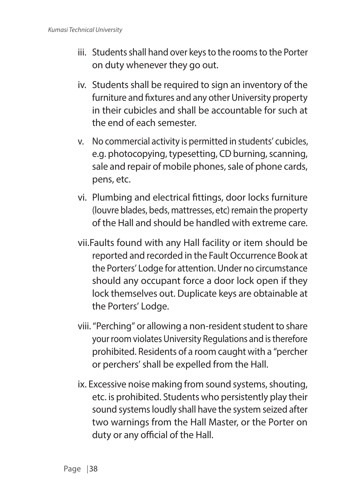- iii. Students shall hand over keys to the rooms to the Porter on duty whenever they go out.
- iv. Students shall be required to sign an inventory of the furniture and fixtures and any other University property in their cubicles and shall be accountable for such at the end of each semester.
- v. No commercial activity is permitted in students' cubicles, e.g. photocopying, typesetting, CD burning, scanning, sale and repair of mobile phones, sale of phone cards, pens, etc.
- vi. Plumbing and electrical fittings, door locks furniture (louvre blades, beds, mattresses, etc) remain the property of the Hall and should be handled with extreme care.
- vii.Faults found with any Hall facility or item should be reported and recorded in the Fault Occurrence Book at the Porters' Lodge for attention. Under no circumstance should any occupant force a door lock open if they lock themselves out. Duplicate keys are obtainable at the Porters' Lodge.
- viii. "Perching" or allowing a non-resident student to share your room violates University Regulations and is therefore prohibited. Residents of a room caught with a "percher or perchers' shall be expelled from the Hall.
- ix. Excessive noise making from sound systems, shouting, etc. is prohibited. Students who persistently play their sound systems loudly shall have the system seized after two warnings from the Hall Master, or the Porter on duty or any official of the Hall.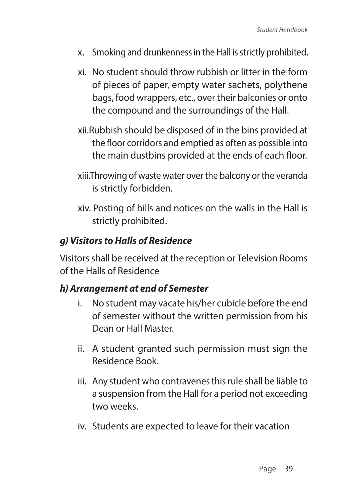- x. Smoking and drunkenness in the Hall is strictly prohibited.
- xi. No student should throw rubbish or litter in the form of pieces of paper, empty water sachets, polythene bags, food wrappers, etc., over their balconies or onto the compound and the surroundings of the Hall.
- xii.Rubbish should be disposed of in the bins provided at the floor corridors and emptied as often as possible into the main dustbins provided at the ends of each floor.
- xiii.Throwing of waste water over the balcony or the veranda is strictly forbidden.
- xiv. Posting of bills and notices on the walls in the Hall is strictly prohibited.

#### *g) Visitors to Halls of Residence*

Visitors shall be received at the reception or Television Rooms of the Halls of Residence

#### *h) Arrangement at end of Semester*

- i. No student may vacate his/her cubicle before the end of semester without the written permission from his Dean or Hall Master.
- ii. A student granted such permission must sign the Residence Book.
- iii. Any student who contravenes this rule shall be liable to a suspension from the Hall for a period not exceeding two weeks.
- iv. Students are expected to leave for their vacation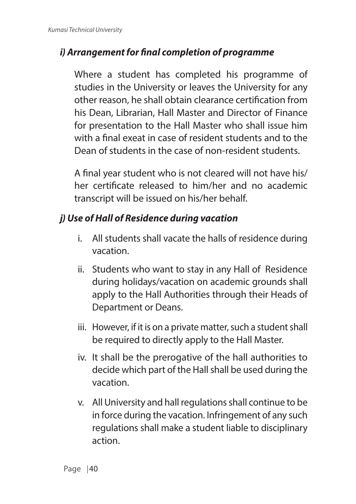### *i) Arrangement for final completion of programme*

Where a student has completed his programme of studies in the University or leaves the University for any other reason, he shall obtain clearance certification from his Dean, Librarian, Hall Master and Director of Finance for presentation to the Hall Master who shall issue him with a final exeat in case of resident students and to the Dean of students in the case of non-resident students.

A final year student who is not cleared will not have his/ her certificate released to him/her and no academic transcript will be issued on his/her behalf.

#### *j) Use of Hall of Residence during vacation*

- i. All students shall vacate the halls of residence during vacation.
- ii. Students who want to stay in any Hall of Residence during holidays/vacation on academic grounds shall apply to the Hall Authorities through their Heads of Department or Deans.
- iii. However, if it is on a private matter, such a student shall be required to directly apply to the Hall Master.
- iv. It shall be the prerogative of the hall authorities to decide which part of the Hall shall be used during the vacation.
- v. All University and hall regulations shall continue to be in force during the vacation. Infringement of any such regulations shall make a student liable to disciplinary action.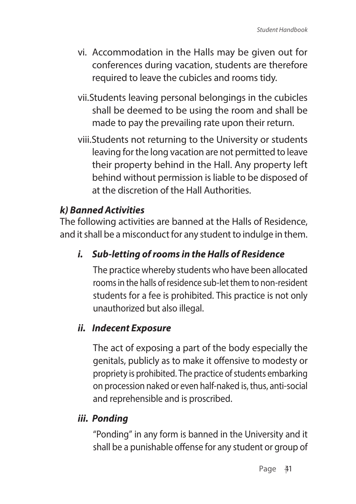- vi. Accommodation in the Halls may be given out for conferences during vacation, students are therefore required to leave the cubicles and rooms tidy.
- vii.Students leaving personal belongings in the cubicles shall be deemed to be using the room and shall be made to pay the prevailing rate upon their return.
- viii.Students not returning to the University or students leaving for the long vacation are not permitted to leave their property behind in the Hall. Any property left behind without permission is liable to be disposed of at the discretion of the Hall Authorities.

### *k) Banned Activities*

The following activities are banned at the Halls of Residence, and it shall be a misconduct for any student to indulge in them.

### *i. Sub-letting of rooms in the Halls of Residence*

The practice whereby students who have been allocated rooms in the halls of residence sub-let them to non-resident students for a fee is prohibited. This practice is not only unauthorized but also illegal.

#### *ii. Indecent Exposure*

The act of exposing a part of the body especially the genitals, publicly as to make it offensive to modesty or propriety is prohibited. The practice of students embarking on procession naked or even half-naked is, thus, anti-social and reprehensible and is proscribed.

#### *iii. Ponding*

"Ponding" in any form is banned in the University and it shall be a punishable offense for any student or group of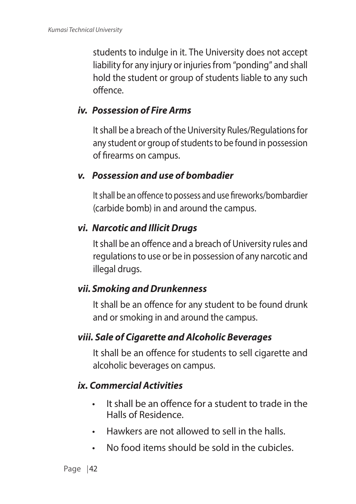students to indulge in it. The University does not accept liability for any injury or injuries from "ponding" and shall hold the student or group of students liable to any such offence.

#### *iv. Possession of Fire Arms*

It shall be a breach of the University Rules/Regulations for any student or group of students to be found in possession of firearms on campus.

#### *v. Possession and use of bombadier*

It shall be an offence to possess and use fireworks/bombardier (carbide bomb) in and around the campus.

#### *vi. Narcotic and Illicit Drugs*

It shall be an offence and a breach of University rules and regulations to use or be in possession of any narcotic and illegal drugs.

#### *vii. Smoking and Drunkenness*

It shall be an offence for any student to be found drunk and or smoking in and around the campus.

#### *viii. Sale of Cigarette and Alcoholic Beverages*

It shall be an offence for students to sell cigarette and alcoholic beverages on campus.

#### *ix. Commercial Activities*

- It shall be an offence for a student to trade in the Halls of Residence.
- Hawkers are not allowed to sell in the halls.
- No food items should be sold in the cubicles.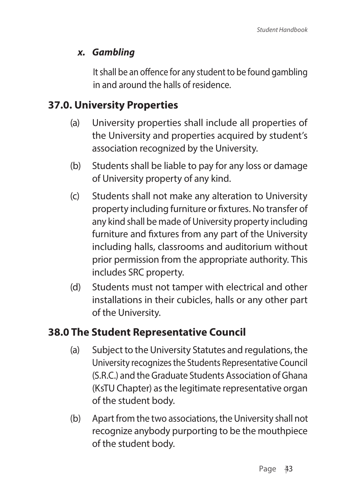### *x. Gambling*

It shall be an offence for any student to be found gambling in and around the halls of residence.

# **37.0. University Properties**

- (a) University properties shall include all properties of the University and properties acquired by student's association recognized by the University.
- (b) Students shall be liable to pay for any loss or damage of University property of any kind.
- (c) Students shall not make any alteration to University property including furniture or fixtures. No transfer of any kind shall be made of University property including furniture and fixtures from any part of the University including halls, classrooms and auditorium without prior permission from the appropriate authority. This includes SRC property.
- (d) Students must not tamper with electrical and other installations in their cubicles, halls or any other part of the University.

# **38.0 The Student Representative Council**

- (a) Subject to the University Statutes and regulations, the University recognizes the Students Representative Council (S.R.C.) and the Graduate Students Association of Ghana (KsTU Chapter) as the legitimate representative organ of the student body.
- (b) Apart from the two associations, the University shall not recognize anybody purporting to be the mouthpiece of the student body.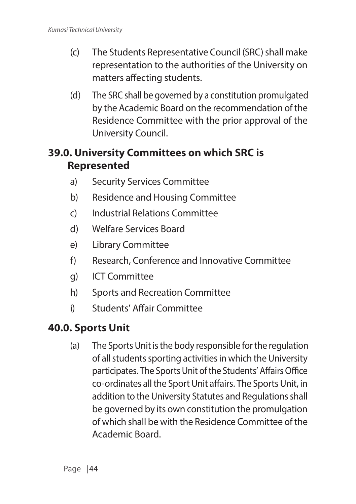- (c) The Students Representative Council (SRC) shall make representation to the authorities of the University on matters affecting students.
- (d) The SRC shall be governed by a constitution promulgated by the Academic Board on the recommendation of the Residence Committee with the prior approval of the University Council.

# **39.0. University Committees on which SRC is Represented**

- a) Security Services Committee
- b) Residence and Housing Committee
- c) Industrial Relations Committee
- d) Welfare Services Board
- e) Library Committee
- f) Research, Conference and Innovative Committee
- g) ICT Committee
- h) Sports and Recreation Committee
- i) Students' Affair Committee

# **40.0. Sports Unit**

(a) The Sports Unit is the body responsible for the regulation of all students sporting activities in which the University participates. The Sports Unit of the Students' Affairs Office co-ordinates all the Sport Unit affairs. The Sports Unit, in addition to the University Statutes and Regulations shall be governed by its own constitution the promulgation of which shall be with the Residence Committee of the Academic Board.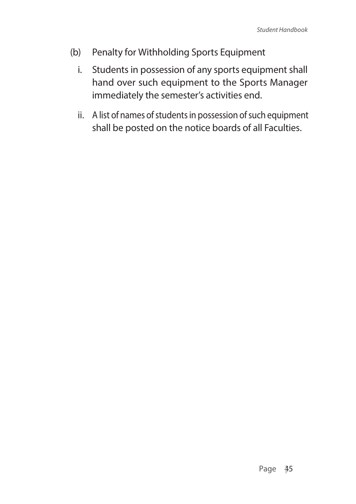- (b) Penalty for Withholding Sports Equipment
	- i. Students in possession of any sports equipment shall hand over such equipment to the Sports Manager immediately the semester's activities end.
	- ii. A list of names of students in possession of such equipment shall be posted on the notice boards of all Faculties.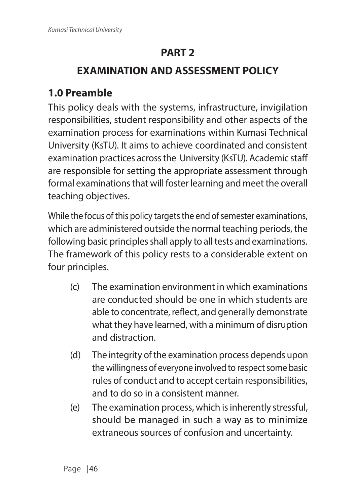# **PART 2**

# **EXAMINATION AND ASSESSMENT POLICY**

# **1.0 Preamble**

This policy deals with the systems, infrastructure, invigilation responsibilities, student responsibility and other aspects of the examination process for examinations within Kumasi Technical University (KsTU). It aims to achieve coordinated and consistent examination practices across the University (KsTU). Academic staff are responsible for setting the appropriate assessment through formal examinations that will foster learning and meet the overall teaching objectives.

While the focus of this policy targets the end of semester examinations, which are administered outside the normal teaching periods, the following basic principles shall apply to all tests and examinations. The framework of this policy rests to a considerable extent on four principles.

- (c) The examination environment in which examinations are conducted should be one in which students are able to concentrate, reflect, and generally demonstrate what they have learned, with a minimum of disruption and distraction.
- (d) The integrity of the examination process depends upon the willingness of everyone involved to respect some basic rules of conduct and to accept certain responsibilities, and to do so in a consistent manner.
- (e) The examination process, which is inherently stressful, should be managed in such a way as to minimize extraneous sources of confusion and uncertainty.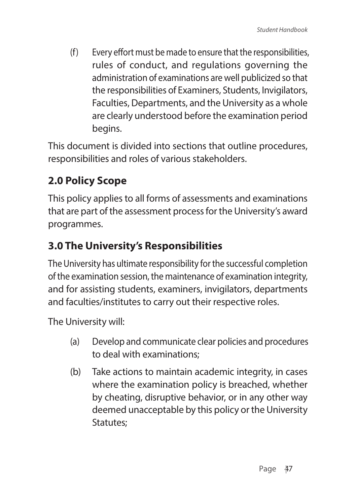(f) Every effort must be made to ensure that the responsibilities, rules of conduct, and regulations governing the administration of examinations are well publicized so that the responsibilities of Examiners, Students, Invigilators, Faculties, Departments, and the University as a whole are clearly understood before the examination period begins.

This document is divided into sections that outline procedures, responsibilities and roles of various stakeholders.

# **2.0 Policy Scope**

This policy applies to all forms of assessments and examinations that are part of the assessment process for the University's award programmes.

# **3.0 The University's Responsibilities**

The University has ultimate responsibility for the successful completion of the examination session, the maintenance of examination integrity, and for assisting students, examiners, invigilators, departments and faculties/institutes to carry out their respective roles.

The University will:

- (a) Develop and communicate clear policies and procedures to deal with examinations;
- (b) Take actions to maintain academic integrity, in cases where the examination policy is breached, whether by cheating, disruptive behavior, or in any other way deemed unacceptable by this policy or the University Statutes;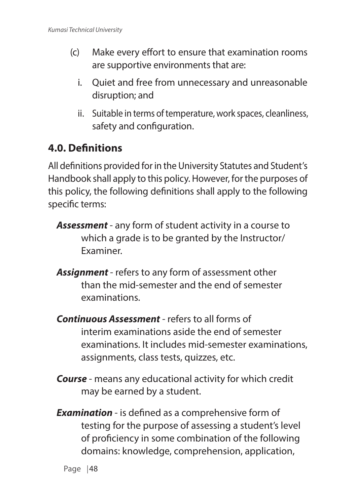- (c) Make every effort to ensure that examination rooms are supportive environments that are:
	- i. Quiet and free from unnecessary and unreasonable disruption; and
	- ii. Suitable in terms of temperature, work spaces, cleanliness, safety and configuration.

# **4.0. Definitions**

All definitions provided for in the University Statutes and Student's Handbook shall apply to this policy. However, for the purposes of this policy, the following definitions shall apply to the following specific terms:

- *Assessment* any form of student activity in a course to which a grade is to be granted by the Instructor/ Examiner.
- *Assignment*  refers to any form of assessment other than the mid-semester and the end of semester examinations.
- *Continuous Assessment* refers to all forms of interim examinations aside the end of semester examinations. It includes mid-semester examinations, assignments, class tests, quizzes, etc.
- *Course* means any educational activity for which credit may be earned by a student.
- *Examination* is defined as a comprehensive form of testing for the purpose of assessing a student's level of proficiency in some combination of the following domains: knowledge, comprehension, application,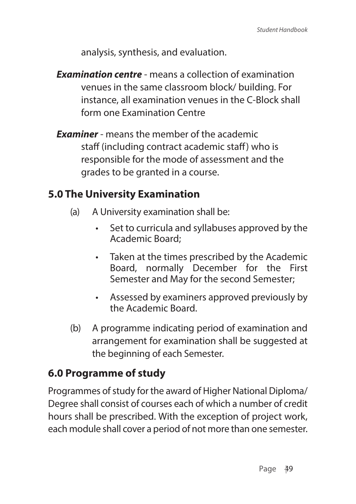analysis, synthesis, and evaluation.

- *Examination centre* means a collection of examination venues in the same classroom block/ building. For instance, all examination venues in the C-Block shall form one Examination Centre
- *Examiner* means the member of the academic staff (including contract academic staff) who is responsible for the mode of assessment and the grades to be granted in a course.

### **5.0 The University Examination**

- (a) A University examination shall be:
	- Set to curricula and syllabuses approved by the Academic Board;
	- Taken at the times prescribed by the Academic Board, normally December for the First Semester and May for the second Semester;
	- Assessed by examiners approved previously by the Academic Board.
- (b) A programme indicating period of examination and arrangement for examination shall be suggested at the beginning of each Semester.

# **6.0 Programme of study**

Programmes of study for the award of Higher National Diploma/ Degree shall consist of courses each of which a number of credit hours shall be prescribed. With the exception of project work, each module shall cover a period of not more than one semester.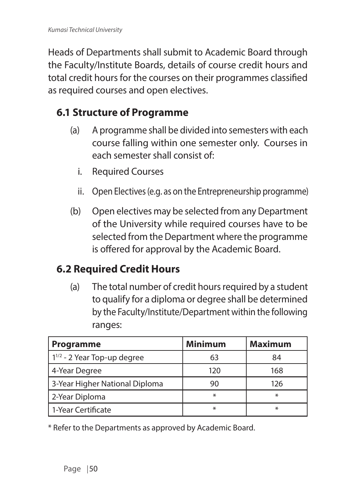Heads of Departments shall submit to Academic Board through the Faculty/Institute Boards, details of course credit hours and total credit hours for the courses on their programmes classified as required courses and open electives.

# **6.1 Structure of Programme**

- (a) A programme shall be divided into semesters with each course falling within one semester only. Courses in each semester shall consist of:
	- i. Required Courses
	- ii. Open Electives (e.g. as on the Entrepreneurship programme)
- (b) Open electives may be selected from any Department of the University while required courses have to be selected from the Department where the programme is offered for approval by the Academic Board.

### **6.2 Required Credit Hours**

(a) The total number of credit hours required by a student to qualify for a diploma or degree shall be determined by the Faculty/Institute/Department within the following ranges:

| <b>Programme</b>                 | <b>Minimum</b> | <b>Maximum</b> |
|----------------------------------|----------------|----------------|
| $1^{1/2}$ - 2 Year Top-up degree | 63             | 84             |
| 4-Year Degree                    | 120            | 168            |
| 3-Year Higher National Diploma   | 90             | 126            |
| 2-Year Diploma                   | ⋇              | $\ast$         |
| l 1-Year Certificate             | ⋇              | $\ast$         |

\* Refer to the Departments as approved by Academic Board.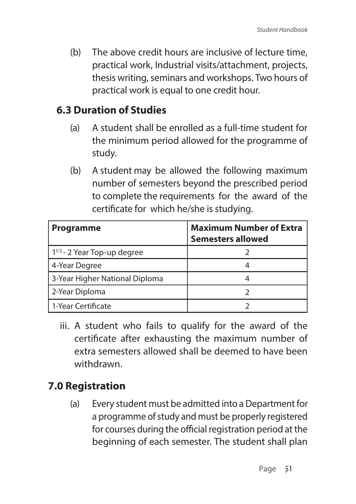(b) The above credit hours are inclusive of lecture time, practical work, Industrial visits/attachment, projects, thesis writing, seminars and workshops. Two hours of practical work is equal to one credit hour.

## **6.3 Duration of Studies**

- (a) A student shall be enrolled as a full-time student for the minimum period allowed for the programme of study.
- (b) A student may be allowed the following maximum number of semesters beyond the prescribed period to complete the requirements for the award of the certificate for which he/she is studying.

| Programme                        | <b>Maximum Number of Extra</b><br><b>Semesters allowed</b> |
|----------------------------------|------------------------------------------------------------|
| $1^{1/2}$ - 2 Year Top-up degree |                                                            |
| 4-Year Degree                    |                                                            |
| 3-Year Higher National Diploma   |                                                            |
| 2-Year Diploma                   |                                                            |
| 1-Year Certificate               |                                                            |

iii. A student who fails to qualify for the award of the certificate after exhausting the maximum number of extra semesters allowed shall be deemed to have been withdrawn.

# **7.0 Registration**

(a) Every student must be admitted into a Department for a programme of study and must be properly registered for courses during the official registration period at the beginning of each semester. The student shall plan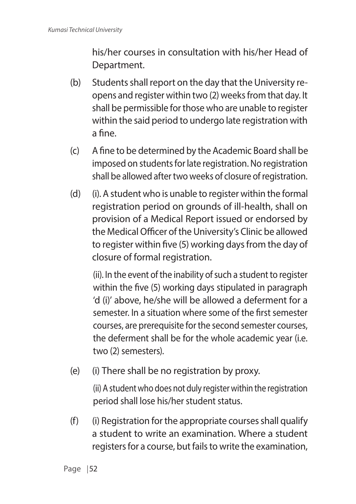his/her courses in consultation with his/her Head of Department.

- (b) Students shall report on the day that the University reopens and register within two (2) weeks from that day. It shall be permissible for those who are unable to register within the said period to undergo late registration with a fine.
- (c) A fine to be determined by the Academic Board shall be imposed on students for late registration. No registration shall be allowed after two weeks of closure of registration.
- (d) (i). A student who is unable to register within the formal registration period on grounds of ill-health, shall on provision of a Medical Report issued or endorsed by the Medical Officer of the University's Clinic be allowed to register within five (5) working days from the day of closure of formal registration.

(ii). In the event of the inability of such a student to register within the five (5) working days stipulated in paragraph 'd (i)' above, he/she will be allowed a deferment for a semester. In a situation where some of the first semester courses, are prerequisite for the second semester courses, the deferment shall be for the whole academic year (i.e. two (2) semesters).

(e) (i) There shall be no registration by proxy.

(ii) A student who does not duly register within the registration period shall lose his/her student status.

(f) (i) Registration for the appropriate courses shall qualify a student to write an examination. Where a student registers for a course, but fails to write the examination,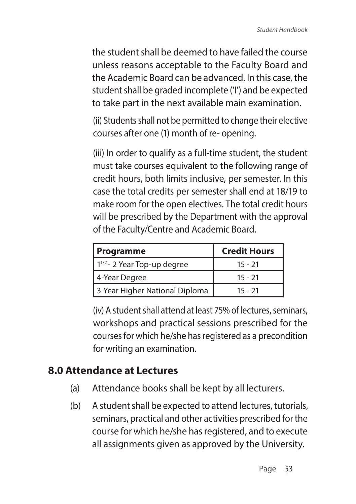the student shall be deemed to have failed the course unless reasons acceptable to the Faculty Board and the Academic Board can be advanced. In this case, the student shall be graded incomplete ('I') and be expected to take part in the next available main examination.

(ii) Students shall not be permitted to change their elective courses after one (1) month of re- opening.

(iii) In order to qualify as a full-time student, the student must take courses equivalent to the following range of credit hours, both limits inclusive, per semester. In this case the total credits per semester shall end at 18/19 to make room for the open electives. The total credit hours will be prescribed by the Department with the approval of the Faculty/Centre and Academic Board.

| Programme                        | <b>Credit Hours</b> |
|----------------------------------|---------------------|
| $1^{1/2}$ - 2 Year Top-up degree | $15 - 21$           |
| 4-Year Degree                    | $15 - 21$           |
| 3-Year Higher National Diploma   | 15 - 21             |

(iv) A student shall attend at least 75% of lectures, seminars, workshops and practical sessions prescribed for the courses for which he/she has registered as a precondition for writing an examination.

## **8.0 Attendance at Lectures**

- (a) Attendance books shall be kept by all lecturers.
- (b) A student shall be expected to attend lectures, tutorials, seminars, practical and other activities prescribed for the course for which he/she has registered, and to execute all assignments given as approved by the University.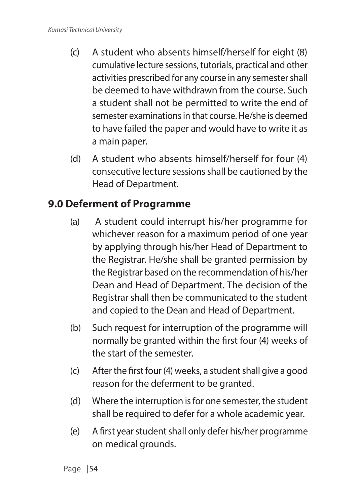- (c) A student who absents himself/herself for eight (8) cumulative lecture sessions, tutorials, practical and other activities prescribed for any course in any semester shall be deemed to have withdrawn from the course. Such a student shall not be permitted to write the end of semester examinations in that course. He/she is deemed to have failed the paper and would have to write it as a main paper.
- (d) A student who absents himself/herself for four (4) consecutive lecture sessions shall be cautioned by the Head of Department.

# **9.0 Deferment of Programme**

- (a) A student could interrupt his/her programme for whichever reason for a maximum period of one year by applying through his/her Head of Department to the Registrar. He/she shall be granted permission by the Registrar based on the recommendation of his/her Dean and Head of Department. The decision of the Registrar shall then be communicated to the student and copied to the Dean and Head of Department.
- (b) Such request for interruption of the programme will normally be granted within the first four (4) weeks of the start of the semester.
- (c) After the first four (4) weeks, a student shall give a good reason for the deferment to be granted.
- (d) Where the interruption is for one semester, the student shall be required to defer for a whole academic year.
- (e) A first year student shall only defer his/her programme on medical grounds.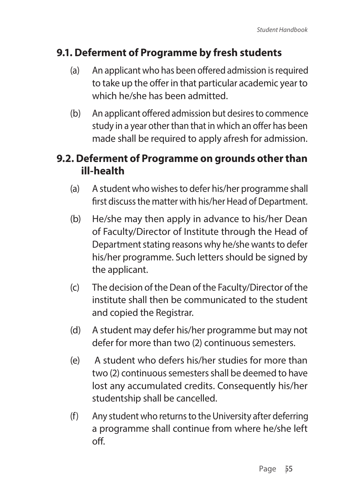## **9.1. Deferment of Programme by fresh students**

- (a) An applicant who has been offered admission is required to take up the offer in that particular academic year to which he/she has been admitted.
- (b) An applicant offered admission but desires to commence study in a year other than that in which an offer has been made shall be required to apply afresh for admission.

# **9.2. Deferment of Programme on grounds other than ill-health**

- (a) A student who wishes to defer his/her programme shall first discuss the matter with his/her Head of Department.
- (b) He/she may then apply in advance to his/her Dean of Faculty/Director of Institute through the Head of Department stating reasons why he/she wants to defer his/her programme. Such letters should be signed by the applicant.
- (c) The decision of the Dean of the Faculty/Director of the institute shall then be communicated to the student and copied the Registrar.
- (d) A student may defer his/her programme but may not defer for more than two (2) continuous semesters.
- (e) A student who defers his/her studies for more than two (2) continuous semesters shall be deemed to have lost any accumulated credits. Consequently his/her studentship shall be cancelled.
- (f) Any student who returns to the University after deferring a programme shall continue from where he/she left off.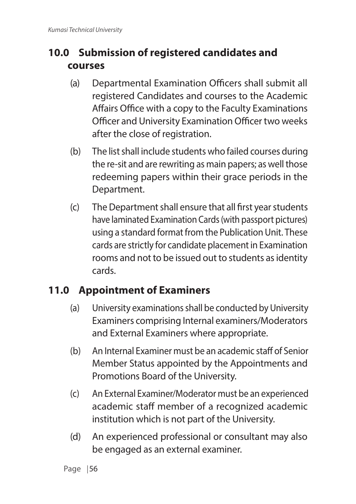# **10.0 Submission of registered candidates and courses**

- (a) Departmental Examination Officers shall submit all registered Candidates and courses to the Academic Affairs Office with a copy to the Faculty Examinations Officer and University Examination Officer two weeks after the close of registration.
- (b) The list shall include students who failed courses during the re-sit and are rewriting as main papers; as well those redeeming papers within their grace periods in the Department.
- (c) The Department shall ensure that all first year students have laminated Examination Cards (with passport pictures) using a standard format from the Publication Unit. These cards are strictly for candidate placement in Examination rooms and not to be issued out to students as identity cards.

# **11.0 Appointment of Examiners**

- (a) University examinations shall be conducted by University Examiners comprising Internal examiners/Moderators and External Examiners where appropriate.
- (b) An Internal Examiner must be an academic staff of Senior Member Status appointed by the Appointments and Promotions Board of the University.
- (c) An External Examiner/Moderator must be an experienced academic staff member of a recognized academic institution which is not part of the University.
- (d) An experienced professional or consultant may also be engaged as an external examiner.

Page | 56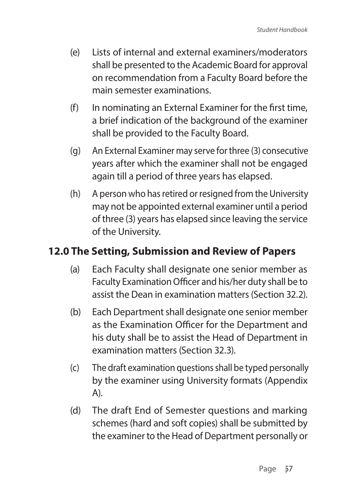- (e) Lists of internal and external examiners/moderators shall be presented to the Academic Board for approval on recommendation from a Faculty Board before the main semester examinations.
- (f) In nominating an External Examiner for the first time, a brief indication of the background of the examiner shall be provided to the Faculty Board.
- (g) An External Examiner may serve for three (3) consecutive years after which the examiner shall not be engaged again till a period of three years has elapsed.
- (h) A person who has retired or resigned from the University may not be appointed external examiner until a period of three (3) years has elapsed since leaving the service of the University.

# **12.0 The Setting, Submission and Review of Papers**

- (a) Each Faculty shall designate one senior member as Faculty Examination Officer and his/her duty shall be to assist the Dean in examination matters (Section 32.2).
- (b) Each Department shall designate one senior member as the Examination Officer for the Department and his duty shall be to assist the Head of Department in examination matters (Section 32.3).
- (c) The draft examination questions shall be typed personally by the examiner using University formats (Appendix A).
- (d) The draft End of Semester questions and marking schemes (hard and soft copies) shall be submitted by the examiner to the Head of Department personally or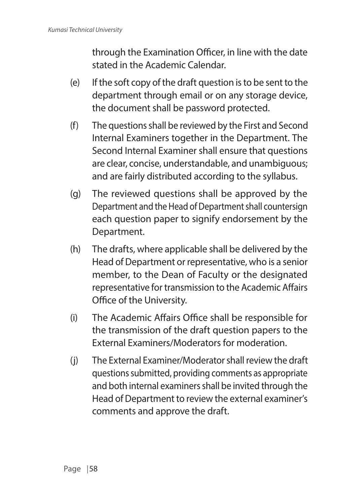through the Examination Officer, in line with the date stated in the Academic Calendar.

- (e) If the soft copy of the draft question is to be sent to the department through email or on any storage device, the document shall be password protected.
- (f) The questions shall be reviewed by the First and Second Internal Examiners together in the Department. The Second Internal Examiner shall ensure that questions are clear, concise, understandable, and unambiguous; and are fairly distributed according to the syllabus.
- (g) The reviewed questions shall be approved by the Department and the Head of Department shall countersign each question paper to signify endorsement by the Department.
- (h) The drafts, where applicable shall be delivered by the Head of Department or representative, who is a senior member, to the Dean of Faculty or the designated representative for transmission to the Academic Affairs Office of the University.
- (i) The Academic Affairs Office shall be responsible for the transmission of the draft question papers to the External Examiners/Moderators for moderation.
- (j) The External Examiner/Moderator shall review the draft questions submitted, providing comments as appropriate and both internal examiners shall be invited through the Head of Department to review the external examiner's comments and approve the draft.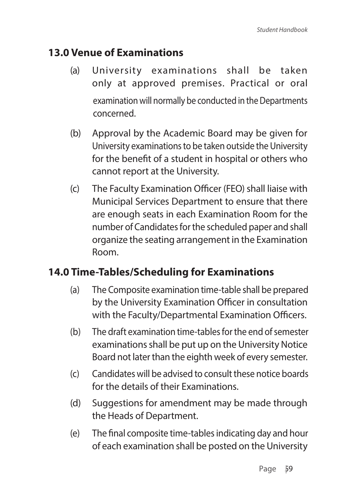## **13.0 Venue of Examinations**

- (a) University examinations shall be taken only at approved premises. Practical or oral examination will normally be conducted in the Departments concerned.
- (b) Approval by the Academic Board may be given for University examinations to be taken outside the University for the benefit of a student in hospital or others who cannot report at the University.
- (c) The Faculty Examination Officer (FEO) shall liaise with Municipal Services Department to ensure that there are enough seats in each Examination Room for the number of Candidates for the scheduled paper and shall organize the seating arrangement in the Examination Room.

## **14.0 Time-Tables/Scheduling for Examinations**

- (a) The Composite examination time-table shall be prepared by the University Examination Officer in consultation with the Faculty/Departmental Examination Officers.
- (b) The draft examination time-tables for the end of semester examinations shall be put up on the University Notice Board not later than the eighth week of every semester.
- (c) Candidates will be advised to consult these notice boards for the details of their Examinations.
- (d) Suggestions for amendment may be made through the Heads of Department.
- (e) The final composite time-tables indicating day and hour of each examination shall be posted on the University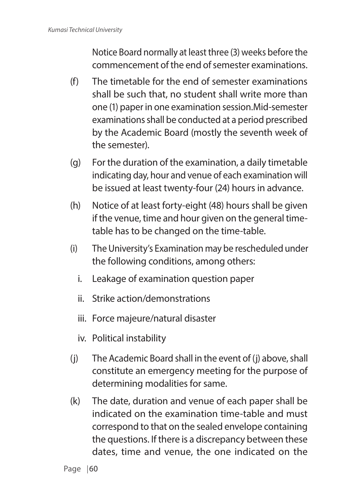Notice Board normally at least three (3) weeks before the commencement of the end of semester examinations.

- (f) The timetable for the end of semester examinations shall be such that, no student shall write more than one (1) paper in one examination session.Mid-semester examinations shall be conducted at a period prescribed by the Academic Board (mostly the seventh week of the semester).
- (g) For the duration of the examination, a daily timetable indicating day, hour and venue of each examination will be issued at least twenty-four (24) hours in advance.
- (h) Notice of at least forty-eight (48) hours shall be given if the venue, time and hour given on the general timetable has to be changed on the time-table.
- (i) The University's Examination may be rescheduled under the following conditions, among others:
	- i. Leakage of examination question paper
	- ii. Strike action/demonstrations
	- iii. Force majeure/natural disaster
	- iv. Political instability
- (j) The Academic Board shall in the event of (j) above, shall constitute an emergency meeting for the purpose of determining modalities for same.
- (k) The date, duration and venue of each paper shall be indicated on the examination time-table and must correspond to that on the sealed envelope containing the questions. If there is a discrepancy between these dates, time and venue, the one indicated on the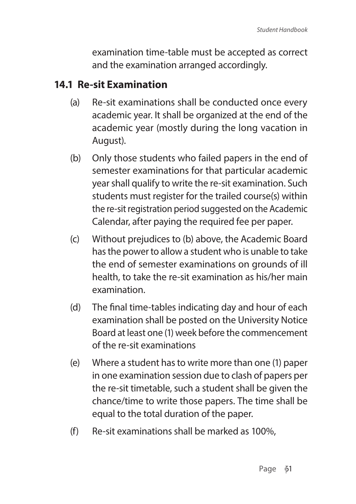examination time-table must be accepted as correct and the examination arranged accordingly.

## **14.1 Re-sit Examination**

- (a) Re-sit examinations shall be conducted once every academic year. It shall be organized at the end of the academic year (mostly during the long vacation in August).
- (b) Only those students who failed papers in the end of semester examinations for that particular academic year shall qualify to write the re-sit examination. Such students must register for the trailed course(s) within the re-sit registration period suggested on the Academic Calendar, after paying the required fee per paper.
- (c) Without prejudices to (b) above, the Academic Board has the power to allow a student who is unable to take the end of semester examinations on grounds of ill health, to take the re-sit examination as his/her main examination.
- (d) The final time-tables indicating day and hour of each examination shall be posted on the University Notice Board at least one (1) week before the commencement of the re-sit examinations
- (e) Where a student has to write more than one (1) paper in one examination session due to clash of papers per the re-sit timetable, such a student shall be given the chance/time to write those papers. The time shall be equal to the total duration of the paper.
- (f) Re-sit examinations shall be marked as 100%,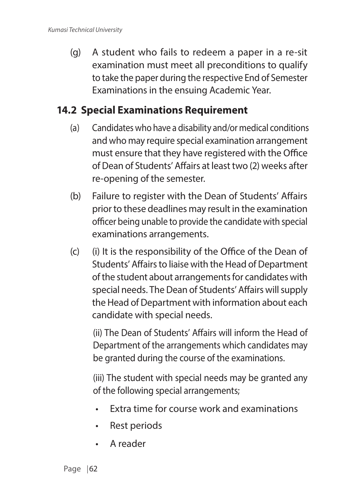(g) A student who fails to redeem a paper in a re-sit examination must meet all preconditions to qualify to take the paper during the respective End of Semester Examinations in the ensuing Academic Year.

## **14.2 Special Examinations Requirement**

- (a) Candidates who have a disability and/or medical conditions and who may require special examination arrangement must ensure that they have registered with the Office of Dean of Students' Affairs at least two (2) weeks after re-opening of the semester.
- (b) Failure to register with the Dean of Students' Affairs prior to these deadlines may result in the examination officer being unable to provide the candidate with special examinations arrangements.
- (c) (i) It is the responsibility of the Office of the Dean of Students' Affairs to liaise with the Head of Department of the student about arrangements for candidates with special needs. The Dean of Students' Affairs will supply the Head of Department with information about each candidate with special needs.

(ii) The Dean of Students' Affairs will inform the Head of Department of the arrangements which candidates may be granted during the course of the examinations.

(iii) The student with special needs may be granted any of the following special arrangements;

- Extra time for course work and examinations
- Rest periods
- A reader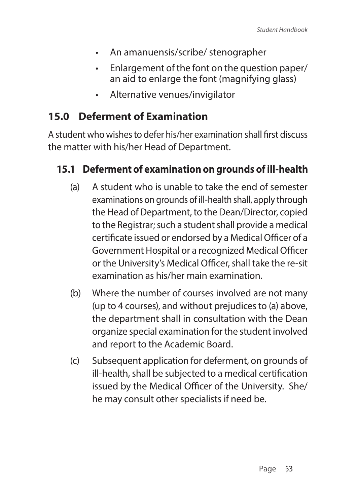- An amanuensis/scribe/ stenographer
- Enlargement of the font on the question paper/ an aid to enlarge the font (magnifying glass)
- Alternative venues/invigilator

### **15.0 Deferment of Examination**

A student who wishes to defer his/her examination shall first discuss the matter with his/her Head of Department.

#### **15.1 Deferment of examination on grounds of ill-health**

- (a) A student who is unable to take the end of semester examinations on grounds of ill-health shall, apply through the Head of Department, to the Dean/Director, copied to the Registrar; such a student shall provide a medical certificate issued or endorsed by a Medical Officer of a Government Hospital or a recognized Medical Officer or the University's Medical Officer, shall take the re-sit examination as his/her main examination.
- (b) Where the number of courses involved are not many (up to 4 courses), and without prejudices to (a) above, the department shall in consultation with the Dean organize special examination for the student involved and report to the Academic Board.
- (c) Subsequent application for deferment, on grounds of ill-health, shall be subjected to a medical certification issued by the Medical Officer of the University. She/ he may consult other specialists if need be.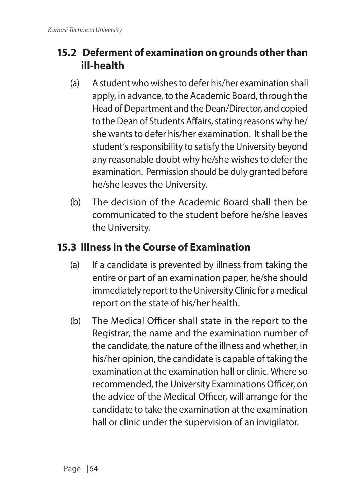### **15.2 Deferment of examination on grounds other than ill-health**

- (a) A student who wishes to defer his/her examination shall apply, in advance, to the Academic Board, through the Head of Department and the Dean/Director, and copied to the Dean of Students Affairs, stating reasons why he/ she wants to defer his/her examination. It shall be the student's responsibility to satisfy the University beyond any reasonable doubt why he/she wishes to defer the examination. Permission should be duly granted before he/she leaves the University.
- (b) The decision of the Academic Board shall then be communicated to the student before he/she leaves the University.

#### **15.3 Illness in the Course of Examination**

- (a) If a candidate is prevented by illness from taking the entire or part of an examination paper, he/she should immediately report to the University Clinic for a medical report on the state of his/her health.
- (b) The Medical Officer shall state in the report to the Registrar, the name and the examination number of the candidate, the nature of the illness and whether, in his/her opinion, the candidate is capable of taking the examination at the examination hall or clinic. Where so recommended, the University Examinations Officer, on the advice of the Medical Officer, will arrange for the candidate to take the examination at the examination hall or clinic under the supervision of an invigilator.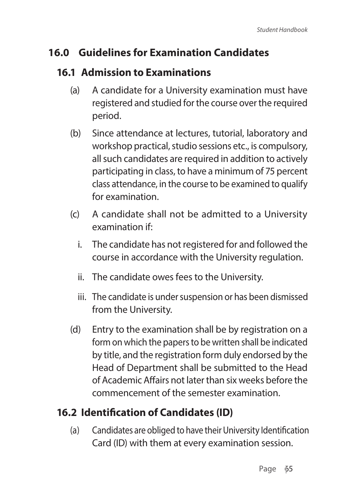### **16.0 Guidelines for Examination Candidates**

### **16.1 Admission to Examinations**

- (a) A candidate for a University examination must have registered and studied for the course over the required period.
- (b) Since attendance at lectures, tutorial, laboratory and workshop practical, studio sessions etc., is compulsory, all such candidates are required in addition to actively participating in class, to have a minimum of 75 percent class attendance, in the course to be examined to qualify for examination.
- (c) A candidate shall not be admitted to a University examination if:
	- i. The candidate has not registered for and followed the course in accordance with the University regulation.
	- ii. The candidate owes fees to the University.
	- iii. The candidate is under suspension or has been dismissed from the University.
- (d) Entry to the examination shall be by registration on a form on which the papers to be written shall be indicated by title, and the registration form duly endorsed by the Head of Department shall be submitted to the Head of Academic Affairs not later than six weeks before the commencement of the semester examination.

# **16.2 Identification of Candidates (ID)**

(a) Candidates are obliged to have their University Identification Card (ID) with them at every examination session.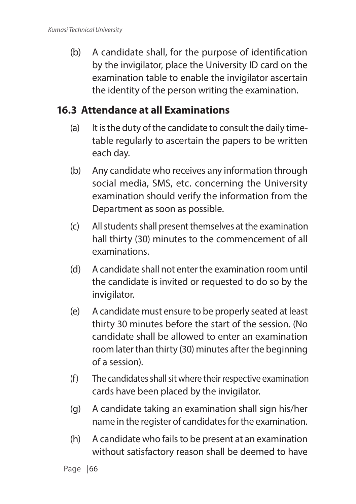(b) A candidate shall, for the purpose of identification by the invigilator, place the University ID card on the examination table to enable the invigilator ascertain the identity of the person writing the examination.

#### **16.3 Attendance at all Examinations**

- (a) It is the duty of the candidate to consult the daily timetable regularly to ascertain the papers to be written each day.
- (b) Any candidate who receives any information through social media, SMS, etc. concerning the University examination should verify the information from the Department as soon as possible.
- (c) All students shall present themselves at the examination hall thirty (30) minutes to the commencement of all examinations.
- (d) A candidate shall not enter the examination room until the candidate is invited or requested to do so by the invigilator.
- (e) A candidate must ensure to be properly seated at least thirty 30 minutes before the start of the session. (No candidate shall be allowed to enter an examination room later than thirty (30) minutes after the beginning of a session).
- (f) The candidates shall sit where their respective examination cards have been placed by the invigilator.
- (g) A candidate taking an examination shall sign his/her name in the register of candidates for the examination.
- (h) A candidate who fails to be present at an examination without satisfactory reason shall be deemed to have

Page  $|66$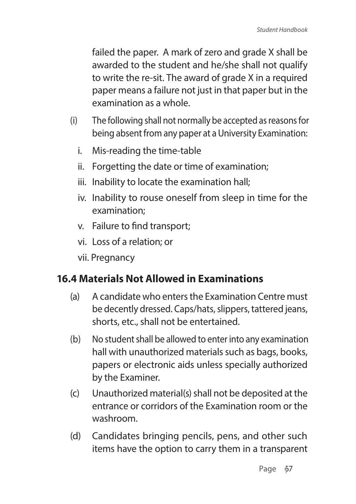failed the paper. A mark of zero and grade X shall be awarded to the student and he/she shall not qualify to write the re-sit. The award of grade X in a required paper means a failure not just in that paper but in the examination as a whole.

- (i) The following shall not normally be accepted as reasons for being absent from any paper at a University Examination:
	- i. Mis-reading the time-table
	- ii. Forgetting the date or time of examination;
	- iii. Inability to locate the examination hall;
	- iv. Inability to rouse oneself from sleep in time for the examination;
	- v. Failure to find transport;
	- vi. Loss of a relation; or
	- vii. Pregnancy

### **16.4 Materials Not Allowed in Examinations**

- (a) A candidate who enters the Examination Centre must be decently dressed. Caps/hats, slippers, tattered jeans, shorts, etc., shall not be entertained.
- (b) No student shall be allowed to enter into any examination hall with unauthorized materials such as bags, books, papers or electronic aids unless specially authorized by the Examiner.
- (c) Unauthorized material(s) shall not be deposited at the entrance or corridors of the Examination room or the washroom.
- (d) Candidates bringing pencils, pens, and other such items have the option to carry them in a transparent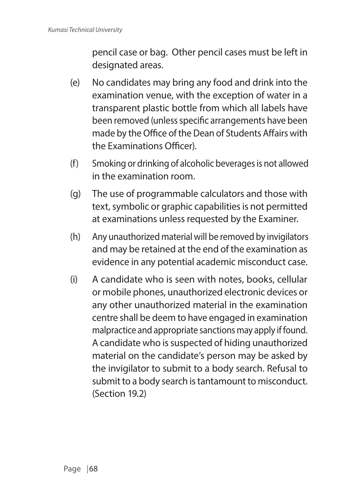pencil case or bag. Other pencil cases must be left in designated areas.

- (e) No candidates may bring any food and drink into the examination venue, with the exception of water in a transparent plastic bottle from which all labels have been removed (unless specific arrangements have been made by the Office of the Dean of Students Affairs with the Examinations Officer).
- (f) Smoking or drinking of alcoholic beverages is not allowed in the examination room.
- (g) The use of programmable calculators and those with text, symbolic or graphic capabilities is not permitted at examinations unless requested by the Examiner.
- (h) Any unauthorized material will be removed by invigilators and may be retained at the end of the examination as evidence in any potential academic misconduct case.
- (i) A candidate who is seen with notes, books, cellular or mobile phones, unauthorized electronic devices or any other unauthorized material in the examination centre shall be deem to have engaged in examination malpractice and appropriate sanctions may apply if found. A candidate who is suspected of hiding unauthorized material on the candidate's person may be asked by the invigilator to submit to a body search. Refusal to submit to a body search is tantamount to misconduct. (Section 19.2)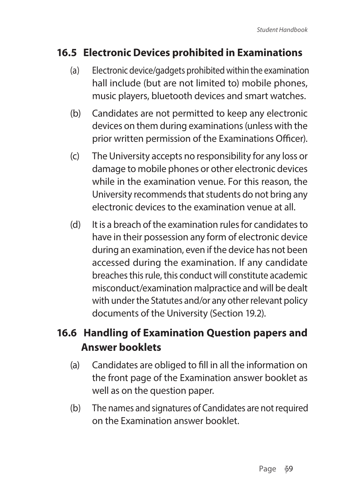### **16.5 Electronic Devices prohibited in Examinations**

- (a) Electronic device/gadgets prohibited within the examination hall include (but are not limited to) mobile phones, music players, bluetooth devices and smart watches.
- (b) Candidates are not permitted to keep any electronic devices on them during examinations (unless with the prior written permission of the Examinations Officer).
- (c) The University accepts no responsibility for any loss or damage to mobile phones or other electronic devices while in the examination venue. For this reason, the University recommends that students do not bring any electronic devices to the examination venue at all.
- (d) It is a breach of the examination rules for candidates to have in their possession any form of electronic device during an examination, even if the device has not been accessed during the examination. If any candidate breaches this rule, this conduct will constitute academic misconduct/examination malpractice and will be dealt with under the Statutes and/or any other relevant policy documents of the University (Section 19.2).

# **16.6 Handling of Examination Question papers and Answer booklets**

- (a) Candidates are obliged to fill in all the information on the front page of the Examination answer booklet as well as on the question paper.
- (b) The names and signatures of Candidates are not required on the Examination answer booklet.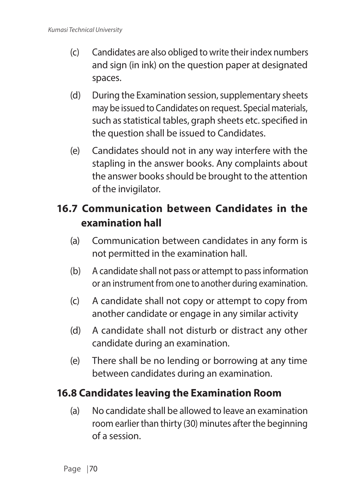- (c) Candidates are also obliged to write their index numbers and sign (in ink) on the question paper at designated spaces.
- (d) During the Examination session, supplementary sheets may be issued to Candidates on request. Special materials, such as statistical tables, graph sheets etc. specified in the question shall be issued to Candidates.
- (e) Candidates should not in any way interfere with the stapling in the answer books. Any complaints about the answer books should be brought to the attention of the invigilator.

# **16.7 Communication between Candidates in the examination hall**

- (a) Communication between candidates in any form is not permitted in the examination hall.
- (b) A candidate shall not pass or attempt to pass information or an instrument from one to another during examination.
- (c) A candidate shall not copy or attempt to copy from another candidate or engage in any similar activity
- (d) A candidate shall not disturb or distract any other candidate during an examination.
- (e) There shall be no lending or borrowing at any time between candidates during an examination.

### **16.8 Candidates leaving the Examination Room**

(a) No candidate shall be allowed to leave an examination room earlier than thirty (30) minutes after the beginning of a session.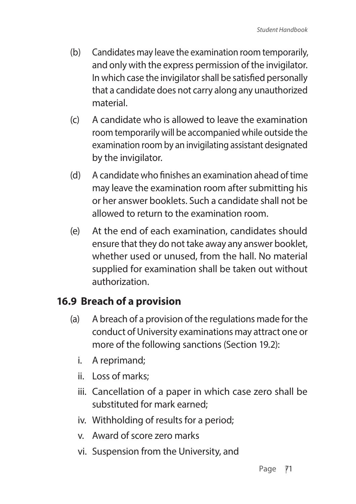- (b) Candidates may leave the examination room temporarily, and only with the express permission of the invigilator. In which case the invigilator shall be satisfied personally that a candidate does not carry along any unauthorized material.
- (c) A candidate who is allowed to leave the examination room temporarily will be accompanied while outside the examination room by an invigilating assistant designated by the invigilator.
- (d) A candidate who finishes an examination ahead of time may leave the examination room after submitting his or her answer booklets. Such a candidate shall not be allowed to return to the examination room.
- (e) At the end of each examination, candidates should ensure that they do not take away any answer booklet, whether used or unused, from the hall. No material supplied for examination shall be taken out without authorization.

### **16.9 Breach of a provision**

- (a) A breach of a provision of the regulations made for the conduct of University examinations may attract one or more of the following sanctions (Section 19.2):
	- i. A reprimand;
	- ii. Loss of marks;
	- iii. Cancellation of a paper in which case zero shall be substituted for mark earned;
	- iv. Withholding of results for a period;
	- v. Award of score zero marks
	- vi. Suspension from the University, and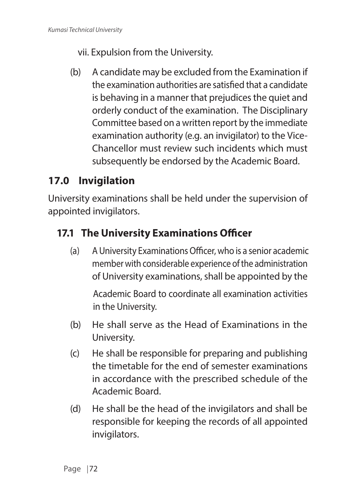- vii. Expulsion from the University.
- (b) A candidate may be excluded from the Examination if the examination authorities are satisfied that a candidate is behaving in a manner that prejudices the quiet and orderly conduct of the examination. The Disciplinary Committee based on a written report by the immediate examination authority (e.g. an invigilator) to the Vice-Chancellor must review such incidents which must subsequently be endorsed by the Academic Board.

# **17.0 Invigilation**

University examinations shall be held under the supervision of appointed invigilators.

### **17.1 The University Examinations Officer**

(a) A University Examinations Officer, who is a senior academic member with considerable experience of the administration of University examinations, shall be appointed by the

Academic Board to coordinate all examination activities in the University.

- (b) He shall serve as the Head of Examinations in the University.
- (c) He shall be responsible for preparing and publishing the timetable for the end of semester examinations in accordance with the prescribed schedule of the Academic Board.
- (d) He shall be the head of the invigilators and shall be responsible for keeping the records of all appointed invigilators.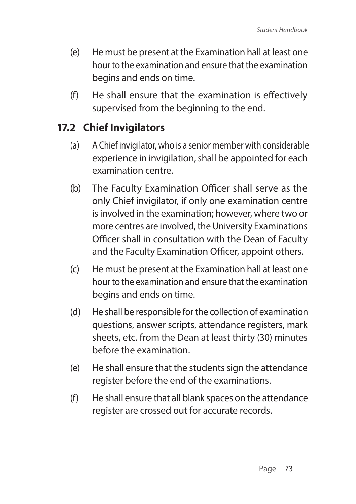- (e) He must be present at the Examination hall at least one hour to the examination and ensure that the examination begins and ends on time.
- (f) He shall ensure that the examination is effectively supervised from the beginning to the end.

### **17.2 Chief Invigilators**

- (a) A Chief invigilator, who is a senior member with considerable experience in invigilation, shall be appointed for each examination centre.
- (b) The Faculty Examination Officer shall serve as the only Chief invigilator, if only one examination centre is involved in the examination; however, where two or more centres are involved, the University Examinations Officer shall in consultation with the Dean of Faculty and the Faculty Examination Officer, appoint others.
- (c) He must be present at the Examination hall at least one hour to the examination and ensure that the examination begins and ends on time.
- (d) He shall be responsible for the collection of examination questions, answer scripts, attendance registers, mark sheets, etc. from the Dean at least thirty (30) minutes before the examination.
- (e) He shall ensure that the students sign the attendance register before the end of the examinations.
- (f) He shall ensure that all blank spaces on the attendance register are crossed out for accurate records.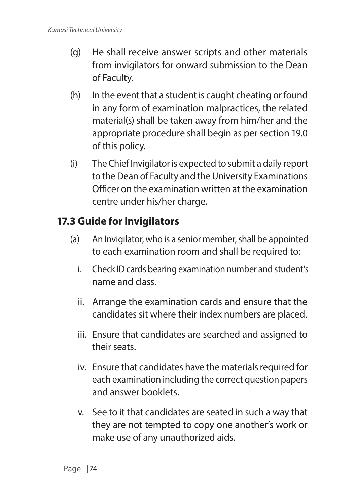- (g) He shall receive answer scripts and other materials from invigilators for onward submission to the Dean of Faculty.
- (h) In the event that a student is caught cheating or found in any form of examination malpractices, the related material(s) shall be taken away from him/her and the appropriate procedure shall begin as per section 19.0 of this policy.
- (i) The Chief Invigilator is expected to submit a daily report to the Dean of Faculty and the University Examinations Officer on the examination written at the examination centre under his/her charge.

#### **17.3 Guide for Invigilators**

- (a) An Invigilator, who is a senior member, shall be appointed to each examination room and shall be required to:
	- i. Check ID cards bearing examination number and student's name and class.
	- ii. Arrange the examination cards and ensure that the candidates sit where their index numbers are placed.
	- iii. Ensure that candidates are searched and assigned to their seats.
	- iv. Ensure that candidates have the materials required for each examination including the correct question papers and answer booklets.
	- v. See to it that candidates are seated in such a way that they are not tempted to copy one another's work or make use of any unauthorized aids.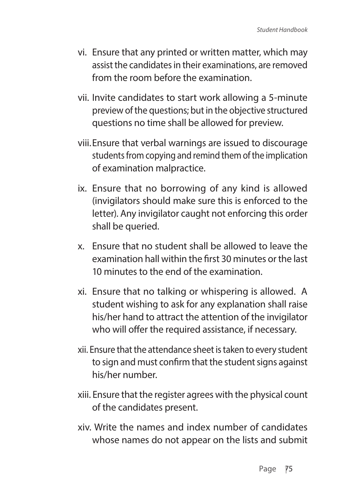- vi. Ensure that any printed or written matter, which may assist the candidates in their examinations, are removed from the room before the examination.
- vii. Invite candidates to start work allowing a 5-minute preview of the questions; but in the objective structured questions no time shall be allowed for preview.
- viii.Ensure that verbal warnings are issued to discourage students from copying and remind them of the implication of examination malpractice.
- ix. Ensure that no borrowing of any kind is allowed (invigilators should make sure this is enforced to the letter). Any invigilator caught not enforcing this order shall be queried.
- x. Ensure that no student shall be allowed to leave the examination hall within the first 30 minutes or the last 10 minutes to the end of the examination.
- xi. Ensure that no talking or whispering is allowed. A student wishing to ask for any explanation shall raise his/her hand to attract the attention of the invigilator who will offer the required assistance, if necessary.
- xii. Ensure that the attendance sheet is taken to every student to sign and must confirm that the student signs against his/her number.
- xiii. Ensure that the register agrees with the physical count of the candidates present.
- xiv. Write the names and index number of candidates whose names do not appear on the lists and submit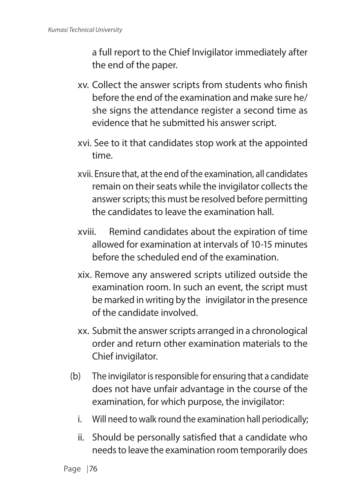a full report to the Chief Invigilator immediately after the end of the paper.

- xv. Collect the answer scripts from students who finish before the end of the examination and make sure he/ she signs the attendance register a second time as evidence that he submitted his answer script.
- xvi. See to it that candidates stop work at the appointed time.
- xvii. Ensure that, at the end of the examination, all candidates remain on their seats while the invigilator collects the answer scripts; this must be resolved before permitting the candidates to leave the examination hall.
- xviii. Remind candidates about the expiration of time allowed for examination at intervals of 10-15 minutes before the scheduled end of the examination.
- xix. Remove any answered scripts utilized outside the examination room. In such an event, the script must be marked in writing by the invigilator in the presence of the candidate involved.
- xx. Submit the answer scripts arranged in a chronological order and return other examination materials to the Chief invigilator.
- (b) The invigilator is responsible for ensuring that a candidate does not have unfair advantage in the course of the examination, for which purpose, the invigilator:
	- i. Will need to walk round the examination hall periodically;
	- ii. Should be personally satisfied that a candidate who needs to leave the examination room temporarily does

Page | 76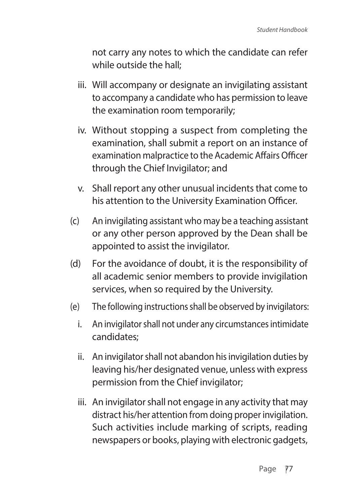not carry any notes to which the candidate can refer while outside the hall;

- iii. Will accompany or designate an invigilating assistant to accompany a candidate who has permission to leave the examination room temporarily;
- iv. Without stopping a suspect from completing the examination, shall submit a report on an instance of examination malpractice to the Academic Affairs Officer through the Chief Invigilator; and
- v. Shall report any other unusual incidents that come to his attention to the University Examination Officer.
- (c) An invigilating assistant who may be a teaching assistant or any other person approved by the Dean shall be appointed to assist the invigilator.
- (d) For the avoidance of doubt, it is the responsibility of all academic senior members to provide invigilation services, when so required by the University.
- (e) The following instructions shall be observed by invigilators:
	- i. An invigilator shall not under any circumstances intimidate candidates;
	- ii. An invigilator shall not abandon his invigilation duties by leaving his/her designated venue, unless with express permission from the Chief invigilator;
	- iii. An invigilator shall not engage in any activity that may distract his/her attention from doing proper invigilation. Such activities include marking of scripts, reading newspapers or books, playing with electronic gadgets,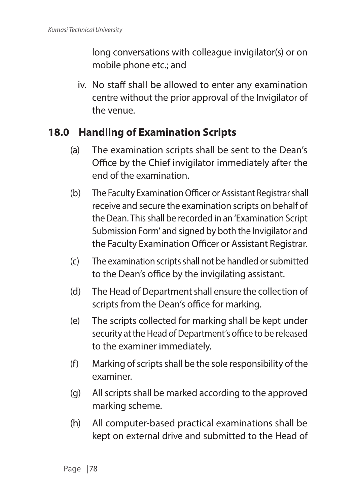long conversations with colleague invigilator(s) or on mobile phone etc.; and

iv. No staff shall be allowed to enter any examination centre without the prior approval of the Invigilator of the venue.

#### **18.0 Handling of Examination Scripts**

- (a) The examination scripts shall be sent to the Dean's Office by the Chief invigilator immediately after the end of the examination.
- (b) The Faculty Examination Officer or Assistant Registrar shall receive and secure the examination scripts on behalf of the Dean. This shall be recorded in an 'Examination Script Submission Form' and signed by both the Invigilator and the Faculty Examination Officer or Assistant Registrar.
- (c) The examination scripts shall not be handled or submitted to the Dean's office by the invigilating assistant.
- (d) The Head of Department shall ensure the collection of scripts from the Dean's office for marking.
- (e) The scripts collected for marking shall be kept under security at the Head of Department's office to be released to the examiner immediately.
- (f) Marking of scripts shall be the sole responsibility of the examiner.
- (g) All scripts shall be marked according to the approved marking scheme.
- (h) All computer-based practical examinations shall be kept on external drive and submitted to the Head of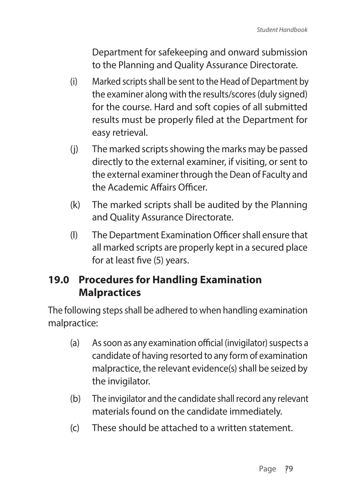Department for safekeeping and onward submission to the Planning and Quality Assurance Directorate.

- (i) Marked scripts shall be sent to the Head of Department by the examiner along with the results/scores (duly signed) for the course. Hard and soft copies of all submitted results must be properly filed at the Department for easy retrieval.
- (j) The marked scripts showing the marks may be passed directly to the external examiner, if visiting, or sent to the external examiner through the Dean of Faculty and the Academic Affairs Officer.
- (k) The marked scripts shall be audited by the Planning and Quality Assurance Directorate.
- (l) The Department Examination Officer shall ensure that all marked scripts are properly kept in a secured place for at least five (5) years.

### **19.0 Procedures for Handling Examination Malpractices**

The following steps shall be adhered to when handling examination malpractice:

- (a) As soon as any examination official (invigilator) suspects a candidate of having resorted to any form of examination malpractice, the relevant evidence(s) shall be seized by the invigilator.
- (b) The invigilator and the candidate shall record any relevant materials found on the candidate immediately.
- (c) These should be attached to a written statement.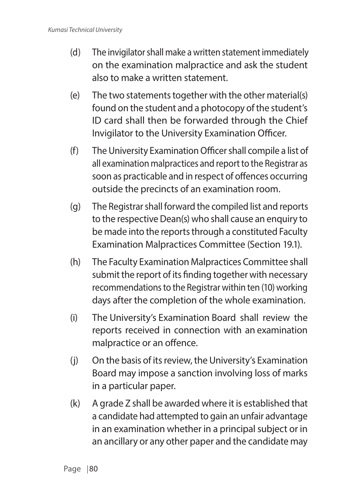- (d) The invigilator shall make a written statement immediately on the examination malpractice and ask the student also to make a written statement.
- (e) The two statements together with the other material(s) found on the student and a photocopy of the student's ID card shall then be forwarded through the Chief Invigilator to the University Examination Officer.
- (f) The University Examination Officer shall compile a list of all examination malpractices and report to the Registrar as soon as practicable and in respect of offences occurring outside the precincts of an examination room.
- (g) The Registrar shall forward the compiled list and reports to the respective Dean(s) who shall cause an enquiry to be made into the reports through a constituted Faculty Examination Malpractices Committee (Section 19.1).
- (h) The Faculty Examination Malpractices Committee shall submit the report of its finding together with necessary recommendations to the Registrar within ten (10) working days after the completion of the whole examination.
- (i) The University's Examination Board shall review the reports received in connection with an examination malpractice or an offence.
- (j) On the basis of its review, the University's Examination Board may impose a sanction involving loss of marks in a particular paper.
- (k) A grade Z shall be awarded where it is established that a candidate had attempted to gain an unfair advantage in an examination whether in a principal subject or in an ancillary or any other paper and the candidate may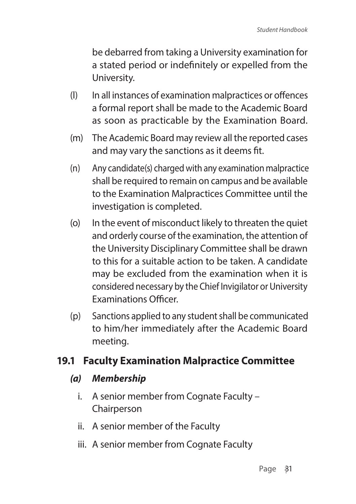be debarred from taking a University examination for a stated period or indefinitely or expelled from the University.

- (l) In all instances of examination malpractices or offences a formal report shall be made to the Academic Board as soon as practicable by the Examination Board.
- (m) The Academic Board may review all the reported cases and may vary the sanctions as it deems fit.
- (n) Any candidate(s) charged with any examination malpractice shall be required to remain on campus and be available to the Examination Malpractices Committee until the investigation is completed.
- (o) In the event of misconduct likely to threaten the quiet and orderly course of the examination, the attention of the University Disciplinary Committee shall be drawn to this for a suitable action to be taken. A candidate may be excluded from the examination when it is considered necessary by the Chief Invigilator or University Examinations Officer.
- (p) Sanctions applied to any student shall be communicated to him/her immediately after the Academic Board meeting.

#### **19.1 Faculty Examination Malpractice Committee**

#### *(a) Membership*

- i. A senior member from Cognate Faculty Chairperson
- ii. A senior member of the Faculty
- iii. A senior member from Cognate Faculty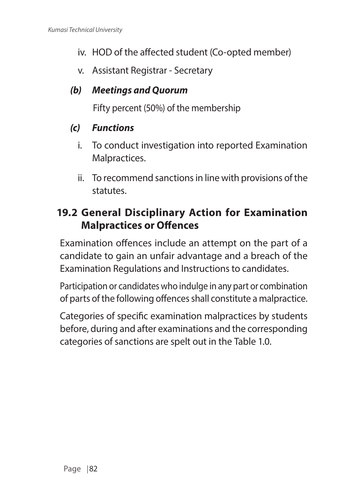- iv. HOD of the affected student (Co-opted member)
- v. Assistant Registrar Secretary

#### *(b) Meetings and Quorum*

Fifty percent (50%) of the membership

#### *(c) Functions*

- i. To conduct investigation into reported Examination Malpractices.
- ii. To recommend sanctions in line with provisions of the statutes.

#### **19.2 General Disciplinary Action for Examination Malpractices or Offences**

Examination offences include an attempt on the part of a candidate to gain an unfair advantage and a breach of the Examination Regulations and Instructions to candidates.

Participation or candidates who indulge in any part or combination of parts of the following offences shall constitute a malpractice.

Categories of specific examination malpractices by students before, during and after examinations and the corresponding categories of sanctions are spelt out in the Table 1.0.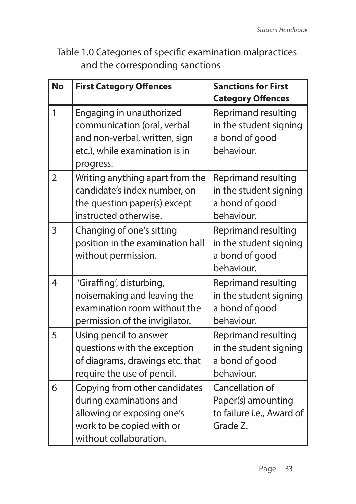Table 1.0 Categories of specific examination malpractices and the corresponding sanctions

| <b>No</b>      | <b>First Category Offences</b>                                                                                                                | <b>Sanctions for First</b><br><b>Category Offences</b>                         |
|----------------|-----------------------------------------------------------------------------------------------------------------------------------------------|--------------------------------------------------------------------------------|
| 1              | Engaging in unauthorized<br>communication (oral, verbal<br>and non-verbal, written, sign<br>etc.), while examination is in<br>progress.       | Reprimand resulting<br>in the student signing<br>a bond of good<br>behaviour.  |
| $\overline{2}$ | Writing anything apart from the<br>candidate's index number, on<br>the question paper(s) except<br>instructed otherwise.                      | Reprimand resulting<br>in the student signing<br>a bond of good<br>behaviour.  |
| 3              | Changing of one's sitting<br>position in the examination hall<br>without permission.                                                          | Reprimand resulting<br>in the student signing<br>a bond of good<br>behaviour.  |
| $\overline{4}$ | 'Giraffing', disturbing,<br>noisemaking and leaving the<br>examination room without the<br>permission of the invigilator.                     | Reprimand resulting<br>in the student signing<br>a bond of good<br>behaviour.  |
| 5              | Using pencil to answer<br>questions with the exception<br>of diagrams, drawings etc. that<br>require the use of pencil.                       | Reprimand resulting<br>in the student signing<br>a bond of good<br>behaviour.  |
| 6              | Copying from other candidates<br>during examinations and<br>allowing or exposing one's<br>work to be copied with or<br>without collaboration. | Cancellation of<br>Paper(s) amounting<br>to failure i.e., Award of<br>Grade Z. |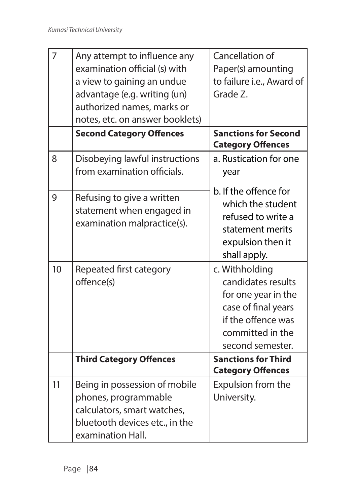| $\overline{7}$ | Any attempt to influence any<br>examination official (s) with<br>a view to gaining an undue<br>advantage (e.g. writing (un)<br>authorized names, marks or<br>notes, etc. on answer booklets) | Cancellation of<br>Paper(s) amounting<br>to failure i.e., Award of<br>Grade Z.                                                                   |
|----------------|----------------------------------------------------------------------------------------------------------------------------------------------------------------------------------------------|--------------------------------------------------------------------------------------------------------------------------------------------------|
|                | <b>Second Category Offences</b>                                                                                                                                                              | <b>Sanctions for Second</b><br><b>Category Offences</b>                                                                                          |
| 8              | Disobeying lawful instructions<br>from examination officials.                                                                                                                                | a. Rustication for one<br>year                                                                                                                   |
| 9              | Refusing to give a written<br>statement when engaged in<br>examination malpractice(s).                                                                                                       | b. If the offence for<br>which the student<br>refused to write a<br>statement merits<br>expulsion then it<br>shall apply.                        |
| 10             | Repeated first category<br>offence(s)                                                                                                                                                        | c. Withholding<br>candidates results<br>for one year in the<br>case of final years<br>if the offence was<br>committed in the<br>second semester. |
|                | <b>Third Category Offences</b>                                                                                                                                                               | <b>Sanctions for Third</b><br><b>Category Offences</b>                                                                                           |
| 11             | Being in possession of mobile<br>phones, programmable<br>calculators, smart watches,<br>bluetooth devices etc., in the<br>examination Hall.                                                  | Expulsion from the<br>University.                                                                                                                |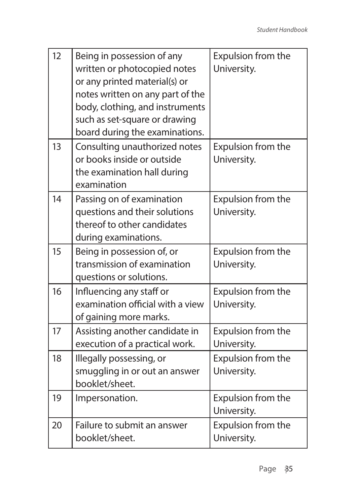| 12 | Being in possession of any<br>written or photocopied notes<br>or any printed material(s) or<br>notes written on any part of the<br>body, clothing, and instruments<br>such as set-square or drawing<br>board during the examinations. | Expulsion from the<br>University.        |
|----|---------------------------------------------------------------------------------------------------------------------------------------------------------------------------------------------------------------------------------------|------------------------------------------|
| 13 | Consulting unauthorized notes<br>or books inside or outside<br>the examination hall during<br>examination                                                                                                                             | <b>Expulsion from the</b><br>University. |
| 14 | Passing on of examination<br>questions and their solutions<br>thereof to other candidates<br>during examinations.                                                                                                                     | Expulsion from the<br>University.        |
| 15 | Being in possession of, or<br>transmission of examination<br>questions or solutions.                                                                                                                                                  | Expulsion from the<br>University.        |
| 16 | Influencing any staff or<br>examination official with a view<br>of gaining more marks.                                                                                                                                                | Expulsion from the<br>University.        |
| 17 | Assisting another candidate in<br>execution of a practical work.                                                                                                                                                                      | Expulsion from the<br>University.        |
| 18 | Illegally possessing, or<br>smuggling in or out an answer<br>booklet/sheet.                                                                                                                                                           | Expulsion from the<br>University.        |
| 19 | Impersonation.                                                                                                                                                                                                                        | Expulsion from the<br>University.        |
| 20 | Failure to submit an answer<br>booklet/sheet.                                                                                                                                                                                         | Expulsion from the<br>University.        |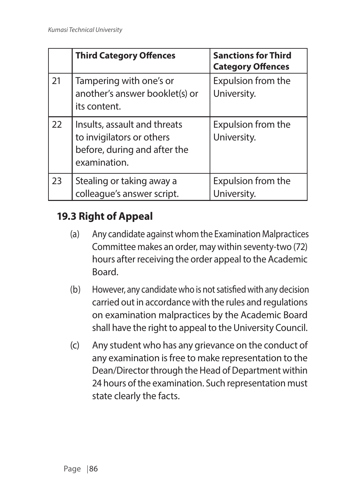|    | <b>Third Category Offences</b>                                                                            | <b>Sanctions for Third</b><br><b>Category Offences</b> |
|----|-----------------------------------------------------------------------------------------------------------|--------------------------------------------------------|
| 21 | Tampering with one's or<br>another's answer booklet(s) or<br>its content.                                 | Expulsion from the<br>University.                      |
| 22 | Insults, assault and threats<br>to invigilators or others<br>before, during and after the<br>examination. | Expulsion from the<br>University.                      |
| 23 | Stealing or taking away a<br>colleague's answer script.                                                   | Expulsion from the<br>University.                      |

### **19.3 Right of Appeal**

- (a) Any candidate against whom the Examination Malpractices Committee makes an order, may within seventy-two (72) hours after receiving the order appeal to the Academic Board.
- (b) However, any candidate who is not satisfied with any decision carried out in accordance with the rules and regulations on examination malpractices by the Academic Board shall have the right to appeal to the University Council.
- (c) Any student who has any grievance on the conduct of any examination is free to make representation to the Dean/Director through the Head of Department within 24 hours of the examination. Such representation must state clearly the facts.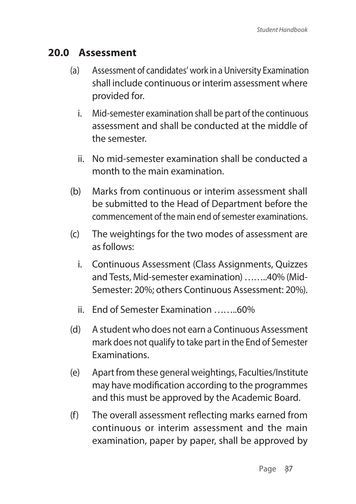#### **20.0 Assessment**

- (a) Assessment of candidates' work in a University Examination shall include continuous or interim assessment where provided for.
	- i. Mid-semester examination shall be part of the continuous assessment and shall be conducted at the middle of the semester.
	- ii. No mid-semester examination shall be conducted a month to the main examination.
- (b) Marks from continuous or interim assessment shall be submitted to the Head of Department before the commencement of the main end of semester examinations.
- (c) The weightings for the two modes of assessment are as follows:
	- i. Continuous Assessment (Class Assignments, Quizzes and Tests, Mid-semester examination) ……..40% (Mid-Semester: 20%; others Continuous Assessment: 20%).
	- ii. End of Semester Examination ……..60%
- (d) A student who does not earn a Continuous Assessment mark does not qualify to take part in the End of Semester Examinations.
- (e) Apart from these general weightings, Faculties/Institute may have modification according to the programmes and this must be approved by the Academic Board.
- (f) The overall assessment reflecting marks earned from continuous or interim assessment and the main examination, paper by paper, shall be approved by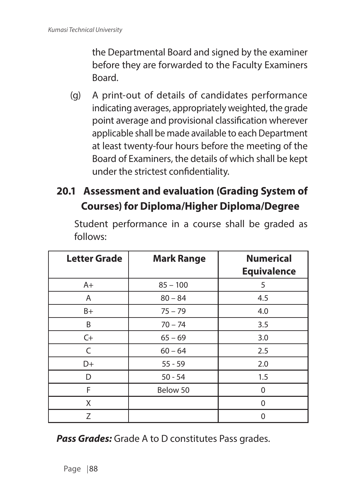the Departmental Board and signed by the examiner before they are forwarded to the Faculty Examiners Board.

- (g) A print-out of details of candidates performance indicating averages, appropriately weighted, the grade point average and provisional classification wherever applicable shall be made available to each Department at least twenty-four hours before the meeting of the Board of Examiners, the details of which shall be kept under the strictest confidentiality.
- **20.1 Assessment and evaluation (Grading System of Courses) for Diploma/Higher Diploma/Degree**

| <b>Letter Grade</b> | <b>Mark Range</b> | <b>Numerical</b><br><b>Equivalence</b> |
|---------------------|-------------------|----------------------------------------|
| $A+$                | $85 - 100$        | 5                                      |
| A                   | $80 - 84$         | 4.5                                    |
| B+                  | $75 - 79$         | 4.0                                    |
| B                   | $70 - 74$         | 3.5                                    |
| $C+$                | $65 - 69$         | 3.0                                    |
| C                   | $60 - 64$         | 2.5                                    |
| D+                  | $55 - 59$         | 2.0                                    |
| D                   | $50 - 54$         | 1.5                                    |
| F                   | Below 50          | 0                                      |
| X                   |                   | 0                                      |
| 7                   |                   | 0                                      |

Student performance in a course shall be graded as follows:

*Pass Grades:* Grade A to D constitutes Pass grades.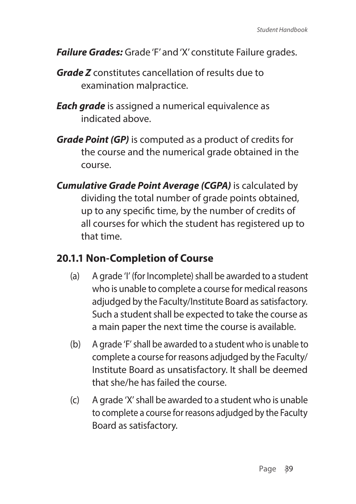- *Failure Grades:* Grade 'F' and 'X' constitute Failure grades.
- *Grade Z* constitutes cancellation of results due to examination malpractice.
- *Each grade* is assigned a numerical equivalence as indicated above.
- *Grade Point (GP)* is computed as a product of credits for the course and the numerical grade obtained in the course.
- *Cumulative Grade Point Average (CGPA)* is calculated by dividing the total number of grade points obtained, up to any specific time, by the number of credits of all courses for which the student has registered up to that time.

#### **20.1.1 Non-Completion of Course**

- (a) A grade 'I' (for Incomplete) shall be awarded to a student who is unable to complete a course for medical reasons adjudged by the Faculty/Institute Board as satisfactory. Such a student shall be expected to take the course as a main paper the next time the course is available.
- (b) A grade 'F' shall be awarded to a student who is unable to complete a course for reasons adjudged by the Faculty/ Institute Board as unsatisfactory. It shall be deemed that she/he has failed the course.
- (c) A grade 'X' shall be awarded to a student who is unable to complete a course for reasons adjudged by the Faculty Board as satisfactory.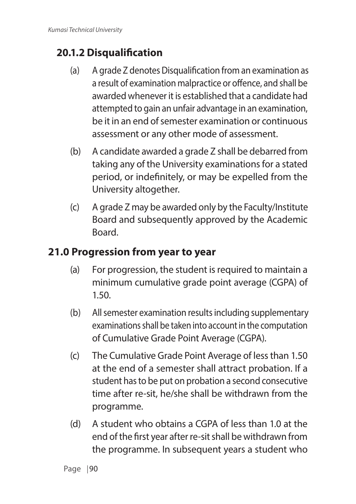# **20.1.2 Disqualification**

- (a) A grade Z denotes Disqualification from an examination as a result of examination malpractice or offence, and shall be awarded whenever it is established that a candidate had attempted to gain an unfair advantage in an examination, be it in an end of semester examination or continuous assessment or any other mode of assessment.
- (b) A candidate awarded a grade Z shall be debarred from taking any of the University examinations for a stated period, or indefinitely, or may be expelled from the University altogether.
- (c) A grade Z may be awarded only by the Faculty/Institute Board and subsequently approved by the Academic Board.

### **21.0 Progression from year to year**

- (a) For progression, the student is required to maintain a minimum cumulative grade point average (CGPA) of 1.50.
- (b) All semester examination results including supplementary examinations shall be taken into account in the computation of Cumulative Grade Point Average (CGPA).
- (c) The Cumulative Grade Point Average of less than 1.50 at the end of a semester shall attract probation. If a student has to be put on probation a second consecutive time after re-sit, he/she shall be withdrawn from the programme.
- (d) A student who obtains a CGPA of less than 1.0 at the end of the first year after re-sit shall be withdrawn from the programme. In subsequent years a student who

Page | 90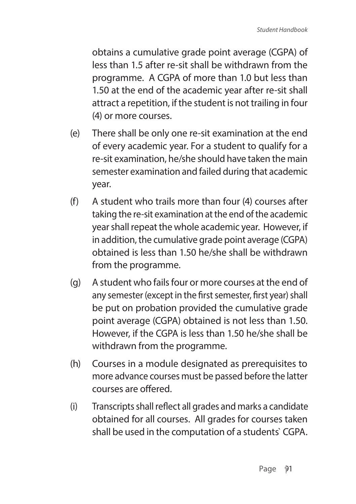obtains a cumulative grade point average (CGPA) of less than 1.5 after re-sit shall be withdrawn from the programme. A CGPA of more than 1.0 but less than 1.50 at the end of the academic year after re-sit shall attract a repetition, if the student is not trailing in four (4) or more courses.

- (e) There shall be only one re-sit examination at the end of every academic year. For a student to qualify for a re-sit examination, he/she should have taken the main semester examination and failed during that academic year.
- (f) A student who trails more than four (4) courses after taking the re-sit examination at the end of the academic year shall repeat the whole academic year. However, if in addition, the cumulative grade point average (CGPA) obtained is less than 1.50 he/she shall be withdrawn from the programme.
- (g) A student who fails four or more courses at the end of any semester (except in the first semester, first year) shall be put on probation provided the cumulative grade point average (CGPA) obtained is not less than 1.50. However, if the CGPA is less than 1.50 he/she shall be withdrawn from the programme.
- (h) Courses in a module designated as prerequisites to more advance courses must be passed before the latter courses are offered.
- (i) Transcripts shall reflect all grades and marks a candidate obtained for all courses. All grades for courses taken shall be used in the computation of a students` CGPA.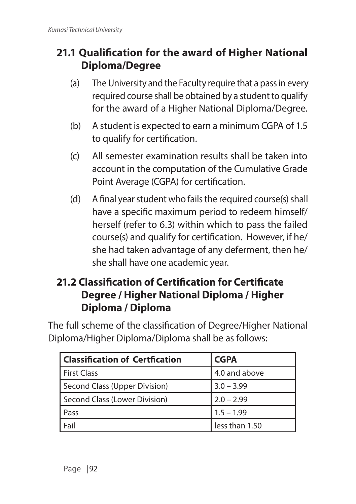## **21.1 Qualification for the award of Higher National Diploma/Degree**

- (a) The University and the Faculty require that a pass in every required course shall be obtained by a student to qualify for the award of a Higher National Diploma/Degree.
- (b) A student is expected to earn a minimum CGPA of 1.5 to qualify for certification.
- (c) All semester examination results shall be taken into account in the computation of the Cumulative Grade Point Average (CGPA) for certification.
- (d) A final year student who fails the required course(s) shall have a specific maximum period to redeem himself/ herself (refer to 6.3) within which to pass the failed course(s) and qualify for certification. However, if he/ she had taken advantage of any deferment, then he/ she shall have one academic year.

### **21.2 Classification of Certification for Certificate Degree / Higher National Diploma / Higher Diploma / Diploma**

The full scheme of the classification of Degree/Higher National Diploma/Higher Diploma/Diploma shall be as follows:

| <b>Classification of Certfication</b> | <b>CGPA</b>    |
|---------------------------------------|----------------|
| <b>First Class</b>                    | 4.0 and above  |
| Second Class (Upper Division)         | $3.0 - 3.99$   |
| Second Class (Lower Division)         | $2.0 - 2.99$   |
| Pass                                  | $1.5 - 1.99$   |
| Fail                                  | less than 1.50 |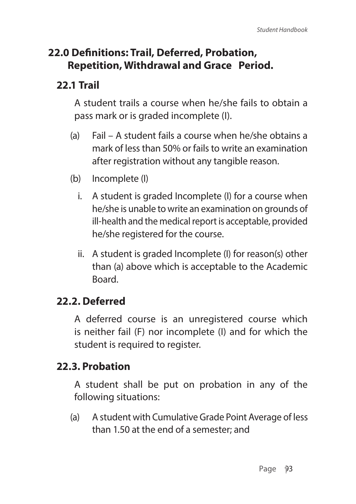### **22.0 Definitions: Trail, Deferred, Probation, Repetition, Withdrawal and Grace Period.**

### **22.1 Trail**

A student trails a course when he/she fails to obtain a pass mark or is graded incomplete (I).

- (a) Fail A student fails a course when he/she obtains a mark of less than 50% or fails to write an examination after registration without any tangible reason.
- (b) Incomplete (I)
	- i. A student is graded Incomplete (I) for a course when he/she is unable to write an examination on grounds of ill-health and the medical report is acceptable, provided he/she registered for the course.
	- ii. A student is graded Incomplete (I) for reason(s) other than (a) above which is acceptable to the Academic **Board**

### **22.2. Deferred**

A deferred course is an unregistered course which is neither fail (F) nor incomplete (I) and for which the student is required to register.

### **22.3. Probation**

A student shall be put on probation in any of the following situations:

(a) A student with Cumulative Grade Point Average of less than 1.50 at the end of a semester; and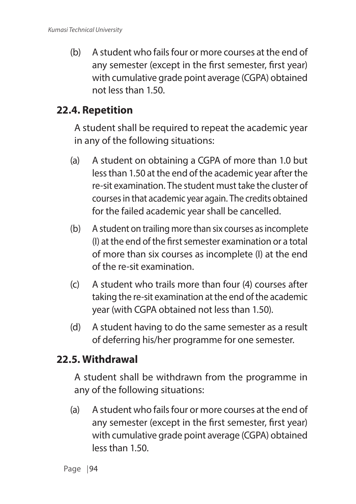(b) A student who fails four or more courses at the end of any semester (except in the first semester, first year) with cumulative grade point average (CGPA) obtained not less than 1.50.

#### **22.4. Repetition**

A student shall be required to repeat the academic year in any of the following situations:

- (a) A student on obtaining a CGPA of more than 1.0 but less than 1.50 at the end of the academic year after the re-sit examination. The student must take the cluster of courses in that academic year again. The credits obtained for the failed academic year shall be cancelled.
- (b) A student on trailing more than six courses as incomplete (I) at the end of the first semester examination or a total of more than six courses as incomplete (I) at the end of the re-sit examination.
- (c) A student who trails more than four (4) courses after taking the re-sit examination at the end of the academic year (with CGPA obtained not less than 1.50).
- (d) A student having to do the same semester as a result of deferring his/her programme for one semester.

### **22.5. Withdrawal**

A student shall be withdrawn from the programme in any of the following situations:

(a) A student who fails four or more courses at the end of any semester (except in the first semester, first year) with cumulative grade point average (CGPA) obtained less than 1.50.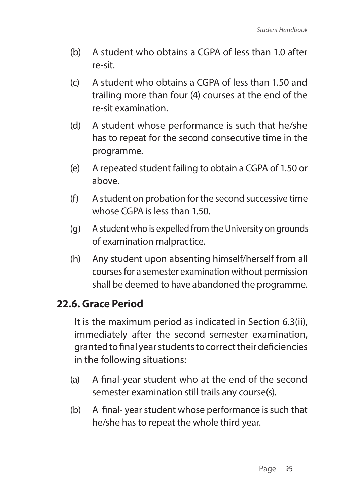- (b) A student who obtains a CGPA of less than 1.0 after re-sit.
- (c) A student who obtains a CGPA of less than 1.50 and trailing more than four (4) courses at the end of the re-sit examination.
- (d) A student whose performance is such that he/she has to repeat for the second consecutive time in the programme.
- (e) A repeated student failing to obtain a CGPA of 1.50 or above.
- (f) A student on probation for the second successive time whose CGPA is less than 1.50.
- (g) A student who is expelled from the University on grounds of examination malpractice.
- (h) Any student upon absenting himself/herself from all courses for a semester examination without permission shall be deemed to have abandoned the programme.

#### **22.6. Grace Period**

It is the maximum period as indicated in Section 6.3(ii), immediately after the second semester examination, granted to final year students to correct their deficiencies in the following situations:

- (a) A final-year student who at the end of the second semester examination still trails any course(s).
- (b) A final- year student whose performance is such that he/she has to repeat the whole third year.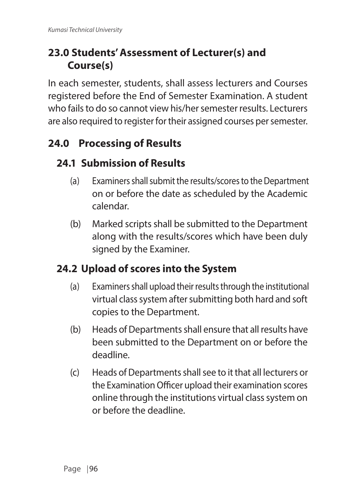# **23.0 Students' Assessment of Lecturer(s) and Course(s)**

In each semester, students, shall assess lecturers and Courses registered before the End of Semester Examination. A student who fails to do so cannot view his/her semester results. Lecturers are also required to register for their assigned courses per semester.

# **24.0 Processing of Results**

# **24.1 Submission of Results**

- (a) Examiners shall submit the results/scores to the Department on or before the date as scheduled by the Academic calendar.
- (b) Marked scripts shall be submitted to the Department along with the results/scores which have been duly signed by the Examiner.

# **24.2 Upload of scores into the System**

- (a) Examiners shall upload their results through the institutional virtual class system after submitting both hard and soft copies to the Department.
- (b) Heads of Departments shall ensure that all results have been submitted to the Department on or before the deadline.
- (c) Heads of Departments shall see to it that all lecturers or the Examination Officer upload their examination scores online through the institutions virtual class system on or before the deadline.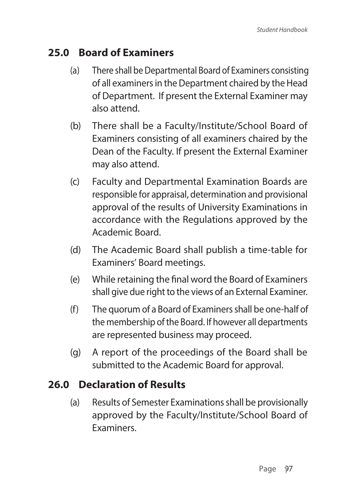### **25.0 Board of Examiners**

- (a) There shall be Departmental Board of Examiners consisting of all examiners in the Department chaired by the Head of Department. If present the External Examiner may also attend.
- (b) There shall be a Faculty/Institute/School Board of Examiners consisting of all examiners chaired by the Dean of the Faculty. If present the External Examiner may also attend.
- (c) Faculty and Departmental Examination Boards are responsible for appraisal, determination and provisional approval of the results of University Examinations in accordance with the Regulations approved by the Academic Board.
- (d) The Academic Board shall publish a time-table for Examiners' Board meetings.
- (e) While retaining the final word the Board of Examiners shall give due right to the views of an External Examiner.
- (f) The quorum of a Board of Examiners shall be one-half of the membership of the Board. If however all departments are represented business may proceed.
- (g) A report of the proceedings of the Board shall be submitted to the Academic Board for approval.

### **26.0 Declaration of Results**

(a) Results of Semester Examinations shall be provisionally approved by the Faculty/Institute/School Board of **Examiners**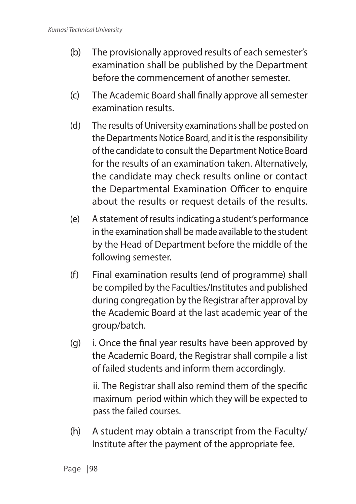- (b) The provisionally approved results of each semester's examination shall be published by the Department before the commencement of another semester.
- (c) The Academic Board shall finally approve all semester examination results.
- (d) The results of University examinations shall be posted on the Departments Notice Board, and it is the responsibility of the candidate to consult the Department Notice Board for the results of an examination taken. Alternatively, the candidate may check results online or contact the Departmental Examination Officer to enquire about the results or request details of the results.
- (e) A statement of results indicating a student's performance in the examination shall be made available to the student by the Head of Department before the middle of the following semester.
- (f) Final examination results (end of programme) shall be compiled by the Faculties/Institutes and published during congregation by the Registrar after approval by the Academic Board at the last academic year of the group/batch.
- (g) i. Once the final year results have been approved by the Academic Board, the Registrar shall compile a list of failed students and inform them accordingly.

ii. The Registrar shall also remind them of the specific maximum period within which they will be expected to pass the failed courses.

(h) A student may obtain a transcript from the Faculty/ Institute after the payment of the appropriate fee.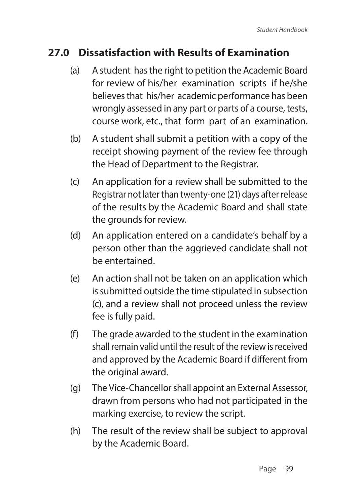## **27.0 Dissatisfaction with Results of Examination**

- (a) A student has the right to petition the Academic Board for review of his/her examination scripts if he/she believes that his/her academic performance has been wrongly assessed in any part or parts of a course, tests, course work, etc., that form part of an examination.
- (b) A student shall submit a petition with a copy of the receipt showing payment of the review fee through the Head of Department to the Registrar.
- (c) An application for a review shall be submitted to the Registrar not later than twenty-one (21) days after release of the results by the Academic Board and shall state the grounds for review.
- (d) An application entered on a candidate's behalf by a person other than the aggrieved candidate shall not be entertained.
- (e) An action shall not be taken on an application which is submitted outside the time stipulated in subsection (c), and a review shall not proceed unless the review fee is fully paid.
- (f) The grade awarded to the student in the examination shall remain valid until the result of the review is received and approved by the Academic Board if different from the original award.
- (g) The Vice-Chancellor shall appoint an External Assessor, drawn from persons who had not participated in the marking exercise, to review the script.
- (h) The result of the review shall be subject to approval by the Academic Board.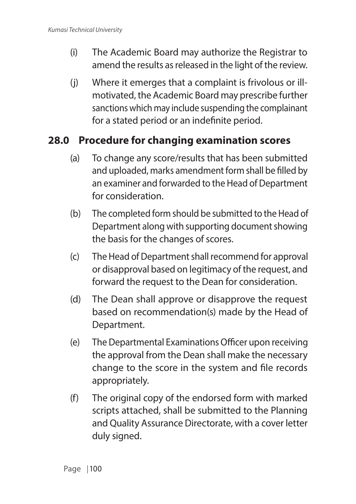- (i) The Academic Board may authorize the Registrar to amend the results as released in the light of the review.
- (j) Where it emerges that a complaint is frivolous or illmotivated, the Academic Board may prescribe further sanctions which may include suspending the complainant for a stated period or an indefinite period.

#### **28.0 Procedure for changing examination scores**

- (a) To change any score/results that has been submitted and uploaded, marks amendment form shall be filled by an examiner and forwarded to the Head of Department for consideration.
- (b) The completed form should be submitted to the Head of Department along with supporting document showing the basis for the changes of scores.
- (c) The Head of Department shall recommend for approval or disapproval based on legitimacy of the request, and forward the request to the Dean for consideration.
- (d) The Dean shall approve or disapprove the request based on recommendation(s) made by the Head of Department.
- (e) The Departmental Examinations Officer upon receiving the approval from the Dean shall make the necessary change to the score in the system and file records appropriately.
- (f) The original copy of the endorsed form with marked scripts attached, shall be submitted to the Planning and Quality Assurance Directorate, with a cover letter duly signed.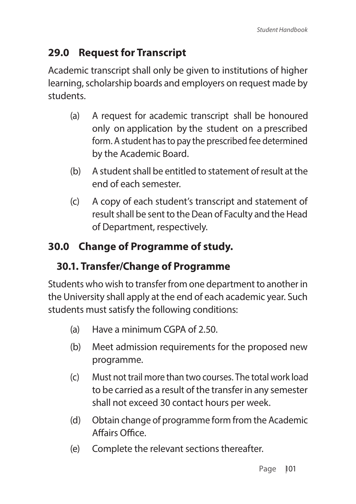# **29.0 Request for Transcript**

Academic transcript shall only be given to institutions of higher learning, scholarship boards and employers on request made by students.

- (a) A request for academic transcript shall be honoured only on application by the student on a prescribed form. A student has to pay the prescribed fee determined by the Academic Board.
- (b) A student shall be entitled to statement of result at the end of each semester.
- (c) A copy of each student's transcript and statement of result shall be sent to the Dean of Faculty and the Head of Department, respectively.

# **30.0 Change of Programme of study.**

## **30.1. Transfer/Change of Programme**

Students who wish to transfer from one department to another in the University shall apply at the end of each academic year. Such students must satisfy the following conditions:

- (a) Have a minimum CGPA of 2.50.
- (b) Meet admission requirements for the proposed new programme.
- (c) Must not trail more than two courses. The total work load to be carried as a result of the transfer in any semester shall not exceed 30 contact hours per week.
- (d) Obtain change of programme form from the Academic Affairs Office.
- (e) Complete the relevant sections thereafter.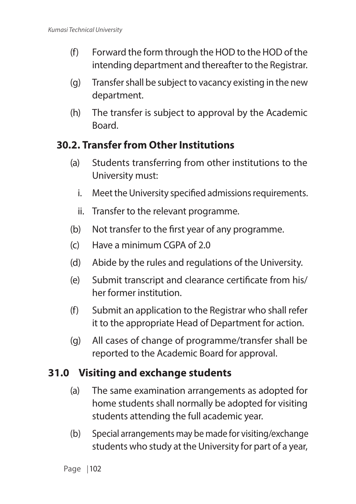- (f) Forward the form through the HOD to the HOD of the intending department and thereafter to the Registrar.
- (g) Transfer shall be subject to vacancy existing in the new department.
- (h) The transfer is subject to approval by the Academic **Board**

#### **30.2. Transfer from Other Institutions**

- (a) Students transferring from other institutions to the University must:
	- i. Meet the University specified admissions requirements.
	- ii. Transfer to the relevant programme.
- (b) Not transfer to the first year of any programme.
- (c) Have a minimum CGPA of 2.0
- (d) Abide by the rules and regulations of the University.
- (e) Submit transcript and clearance certificate from his/ her former institution.
- (f) Submit an application to the Registrar who shall refer it to the appropriate Head of Department for action.
- (g) All cases of change of programme/transfer shall be reported to the Academic Board for approval.

## **31.0 Visiting and exchange students**

- (a) The same examination arrangements as adopted for home students shall normally be adopted for visiting students attending the full academic year.
- (b) Special arrangements may be made for visiting/exchange students who study at the University for part of a year,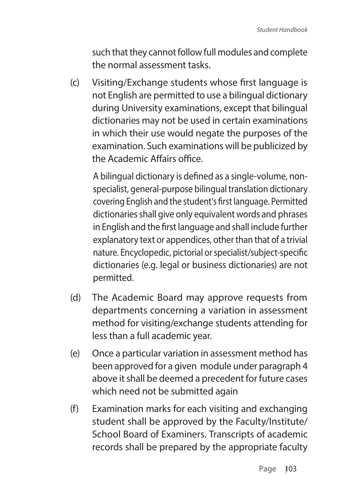such that they cannot follow full modules and complete the normal assessment tasks.

(c) Visiting/Exchange students whose first language is not English are permitted to use a bilingual dictionary during University examinations, except that bilingual dictionaries may not be used in certain examinations in which their use would negate the purposes of the examination. Such examinations will be publicized by the Academic Affairs office.

A bilingual dictionary is defined as a single-volume, nonspecialist, general-purpose bilingual translation dictionary covering English and the student's first language. Permitted dictionaries shall give only equivalent words and phrases in English and the first language and shall include further explanatory text or appendices, other than that of a trivial nature. Encyclopedic, pictorial or specialist/subject-specific dictionaries (e.g. legal or business dictionaries) are not permitted.

- (d) The Academic Board may approve requests from departments concerning a variation in assessment method for visiting/exchange students attending for less than a full academic year.
- (e) Once a particular variation in assessment method has been approved for a given module under paragraph 4 above it shall be deemed a precedent for future cases which need not be submitted again
- (f) Examination marks for each visiting and exchanging student shall be approved by the Faculty/Institute/ School Board of Examiners. Transcripts of academic records shall be prepared by the appropriate faculty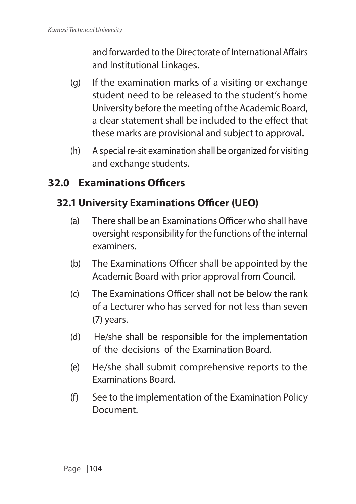and forwarded to the Directorate of International Affairs and Institutional Linkages.

- (g) If the examination marks of a visiting or exchange student need to be released to the student's home University before the meeting of the Academic Board, a clear statement shall be included to the effect that these marks are provisional and subject to approval.
- (h) A special re-sit examination shall be organized for visiting and exchange students.

## **32.0 Examinations Officers**

# **32.1 University Examinations Officer (UEO)**

- (a) There shall be an Examinations Officer who shall have oversight responsibility for the functions of the internal examiners.
- (b) The Examinations Officer shall be appointed by the Academic Board with prior approval from Council.
- (c) The Examinations Officer shall not be below the rank of a Lecturer who has served for not less than seven (7) years.
- (d) He/she shall be responsible for the implementation of the decisions of the Examination Board.
- (e) He/she shall submit comprehensive reports to the Examinations Board.
- (f) See to the implementation of the Examination Policy Document.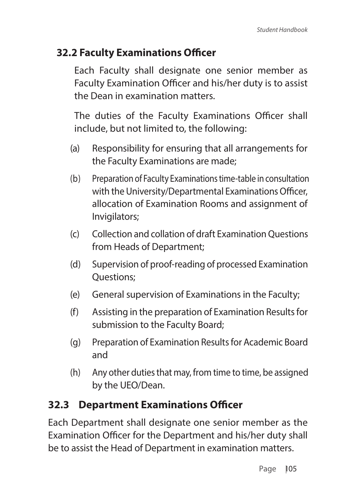## **32.2 Faculty Examinations Officer**

Each Faculty shall designate one senior member as Faculty Examination Officer and his/her duty is to assist the Dean in examination matters.

The duties of the Faculty Examinations Officer shall include, but not limited to, the following:

- (a) Responsibility for ensuring that all arrangements for the Faculty Examinations are made;
- (b) Preparation of Faculty Examinations time-table in consultation with the University/Departmental Examinations Officer, allocation of Examination Rooms and assignment of Invigilators;
- (c) Collection and collation of draft Examination Questions from Heads of Department;
- (d) Supervision of proof-reading of processed Examination Questions;
- (e) General supervision of Examinations in the Faculty;
- (f) Assisting in the preparation of Examination Results for submission to the Faculty Board;
- (g) Preparation of Examination Results for Academic Board and
- (h) Any other duties that may, from time to time, be assigned by the UEO/Dean.

#### **32.3 Department Examinations Officer**

Each Department shall designate one senior member as the Examination Officer for the Department and his/her duty shall be to assist the Head of Department in examination matters.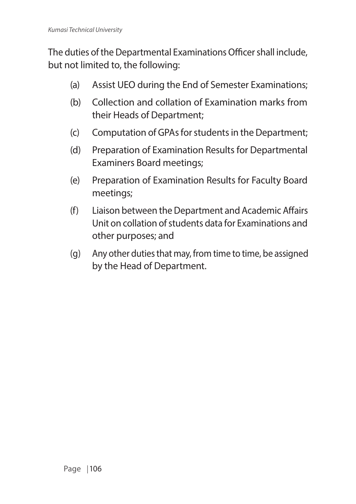The duties of the Departmental Examinations Officer shall include, but not limited to, the following:

- (a) Assist UEO during the End of Semester Examinations;
- (b) Collection and collation of Examination marks from their Heads of Department;
- (c) Computation of GPAs for students in the Department;
- (d) Preparation of Examination Results for Departmental Examiners Board meetings;
- (e) Preparation of Examination Results for Faculty Board meetings;
- (f) Liaison between the Department and Academic Affairs Unit on collation of students data for Examinations and other purposes; and
- (g) Any other duties that may, from time to time, be assigned by the Head of Department.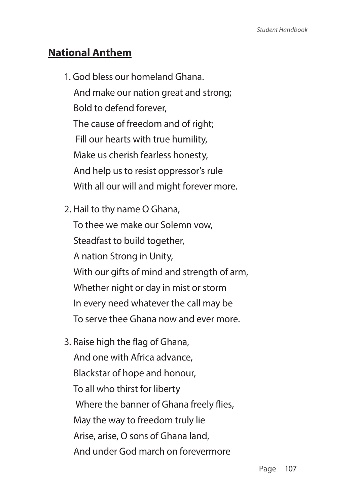#### **National Anthem**

1. God bless our homeland Ghana. And make our nation great and strong; Bold to defend forever, The cause of freedom and of right; Fill our hearts with true humility, Make us cherish fearless honesty, And help us to resist oppressor's rule With all our will and might forever more.

2. Hail to thy name O Ghana, To thee we make our Solemn vow, Steadfast to build together, A nation Strong in Unity, With our gifts of mind and strength of arm, Whether night or day in mist or storm In every need whatever the call may be To serve thee Ghana now and ever more.

3. Raise high the flag of Ghana, And one with Africa advance, Blackstar of hope and honour, To all who thirst for liberty Where the banner of Ghana freely flies, May the way to freedom truly lie Arise, arise, O sons of Ghana land, And under God march on forevermore